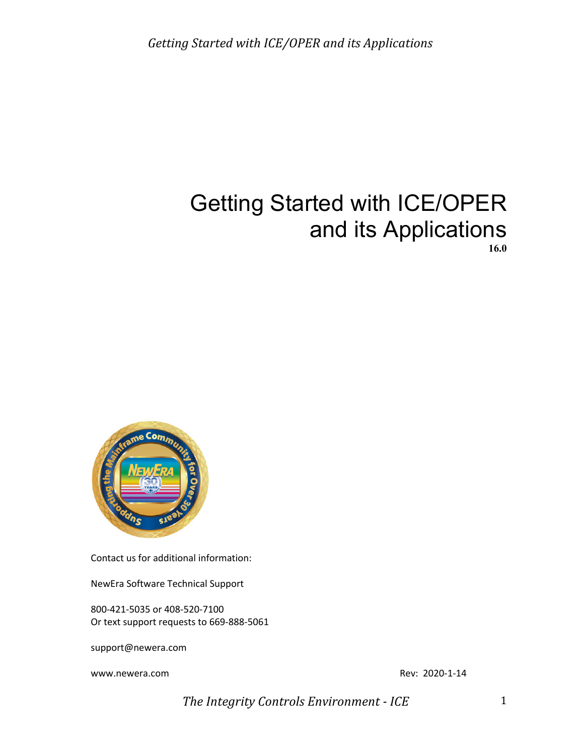

Contact us for additional information:

NewEra Software Technical Support

800-421-5035 or 408-520-7100 Or text support requests to 669-888-5061

support@newera.com

www.newera.com example and the community of the community of the Rev: 2020-1-14

*The Integrity Controls Environment - ICE* 1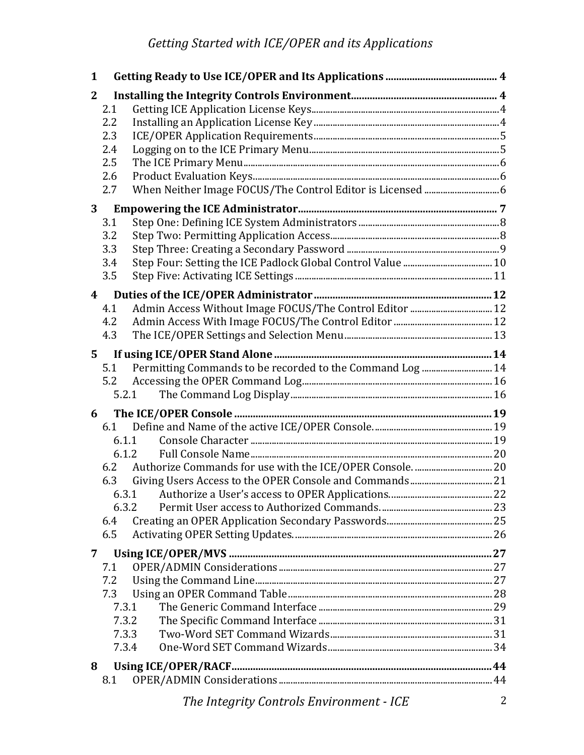| $\mathbf 1$  |                                                                         |   |
|--------------|-------------------------------------------------------------------------|---|
| $\mathbf{2}$ |                                                                         |   |
|              | 2.1                                                                     |   |
|              | 2.2                                                                     |   |
|              | 2.3                                                                     |   |
|              | 2.4                                                                     |   |
|              | 2.5<br>2.6                                                              |   |
|              | When Neither Image FOCUS/The Control Editor is Licensed  6<br>2.7       |   |
|              |                                                                         |   |
| 3            |                                                                         |   |
|              | 3.1<br>3.2                                                              |   |
|              | 3.3                                                                     |   |
|              | 3.4                                                                     |   |
|              | 3.5                                                                     |   |
|              |                                                                         |   |
| 4            |                                                                         |   |
|              | 4.1<br>4.2                                                              |   |
|              | 4.3                                                                     |   |
|              |                                                                         |   |
| 5            |                                                                         |   |
|              | Permitting Commands to be recorded to the Command Log  14<br>5.1<br>5.2 |   |
|              | 5.2.1                                                                   |   |
|              |                                                                         |   |
| 6            |                                                                         |   |
|              | 6.1                                                                     |   |
|              | 6.1.1<br>6.1.2                                                          |   |
|              | 6.2                                                                     |   |
|              | 6.3                                                                     |   |
|              |                                                                         |   |
|              | 6.3.2                                                                   |   |
|              | 6.4                                                                     |   |
|              | 6.5                                                                     |   |
| 7            |                                                                         |   |
|              | 7.1                                                                     |   |
|              | 7.2                                                                     |   |
|              | 7.3                                                                     |   |
|              | 7.3.1                                                                   |   |
|              | 7.3.2                                                                   |   |
|              | 7.3.3                                                                   |   |
|              | 7.3.4                                                                   |   |
| 8            |                                                                         |   |
|              | 8.1                                                                     |   |
|              | The Integrity Controls Environment - ICE                                | 2 |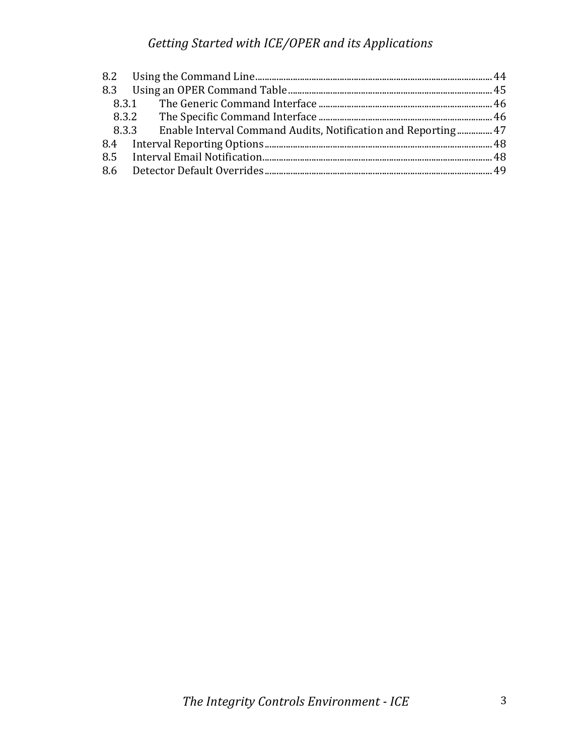|  | 8.3.3 Enable Interval Command Audits, Notification and Reporting 47 |  |
|--|---------------------------------------------------------------------|--|
|  |                                                                     |  |
|  |                                                                     |  |
|  |                                                                     |  |
|  |                                                                     |  |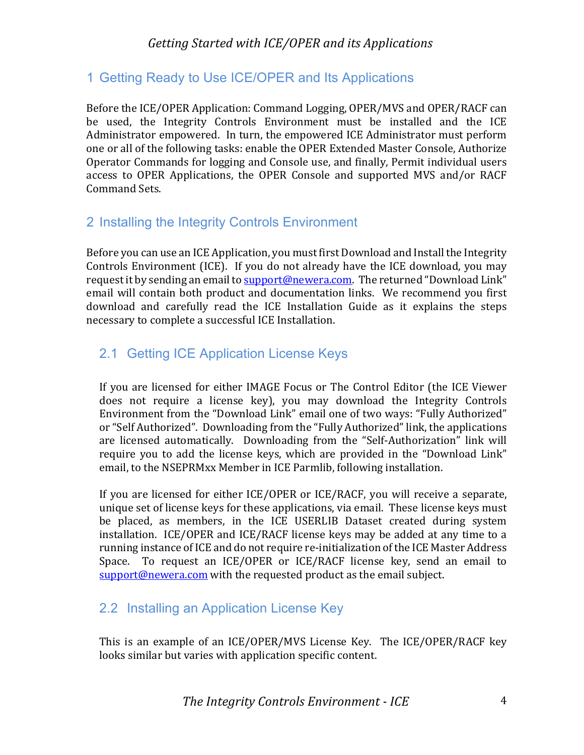# 1 Getting Ready to Use ICE/OPER and Its Applications

Before the ICE/OPER Application: Command Logging, OPER/MVS and OPER/RACF can be used, the Integrity Controls Environment must be installed and the ICE Administrator empowered. In turn, the empowered ICE Administrator must perform one or all of the following tasks: enable the OPER Extended Master Console, Authorize Operator Commands for logging and Console use, and finally, Permit individual users access to OPER Applications, the OPER Console and supported MVS and/or RACF Command Sets.

# 2 Installing the Integrity Controls Environment

Before you can use an ICE Application, you must first Download and Install the Integrity Controls Environment (ICE). If you do not already have the ICE download, you may request it by sending an email to support@newera.com. The returned "Download Link" email will contain both product and documentation links. We recommend you first download and carefully read the ICE Installation Guide as it explains the steps necessary to complete a successful ICE Installation.

# 2.1 Getting ICE Application License Keys

If you are licensed for either IMAGE Focus or The Control Editor (the ICE Viewer does not require a license key), you may download the Integrity Controls Environment from the "Download Link" email one of two ways: "Fully Authorized" or "Self Authorized". Downloading from the "Fully Authorized" link, the applications are licensed automatically. Downloading from the "Self-Authorization" link will require you to add the license keys, which are provided in the "Download Link" email, to the NSEPRMxx Member in ICE Parmlib, following installation.

If you are licensed for either ICE/OPER or ICE/RACF, you will receive a separate, unique set of license keys for these applications, via email. These license keys must be placed, as members, in the ICE USERLIB Dataset created during system installation. ICE/OPER and ICE/RACF license keys may be added at any time to a running instance of ICE and do not require re-initialization of the ICE Master Address Space. To request an ICE/OPER or ICE/RACF license key, send an email to  $\frac{\text{support@newera.com}}{\text{without@newera.com}}$  with the requested product as the email subject.

# 2.2 Installing an Application License Key

This is an example of an ICE/OPER/MVS License Key. The ICE/OPER/RACF key looks similar but varies with application specific content.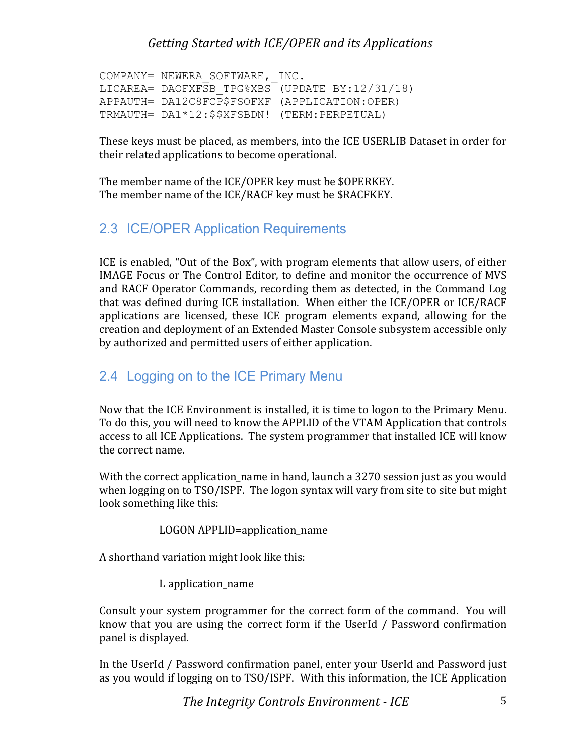```
COMPANY= NEWERA SOFTWARE, INC.
LICAREA= DAOFXFSB_TPG%XBS (UPDATE BY:12/31/18)
APPAUTH= DA12C8FCP$FSOFXF (APPLICATION:OPER)
TRMAUTH= DA1*12:$$XFSBDN! (TERM:PERPETUAL)
```
These keys must be placed, as members, into the ICE USERLIB Dataset in order for their related applications to become operational.

The member name of the ICE/OPER key must be \$OPERKEY. The member name of the ICE/RACF key must be \$RACFKEY.

### 2.3 ICE/OPER Application Requirements

ICE is enabled, "Out of the Box", with program elements that allow users, of either IMAGE Focus or The Control Editor, to define and monitor the occurrence of MVS and RACF Operator Commands, recording them as detected, in the Command Log that was defined during ICE installation. When either the ICE/OPER or ICE/RACF applications are licensed, these ICE program elements expand, allowing for the creation and deployment of an Extended Master Console subsystem accessible only by authorized and permitted users of either application.

### 2.4 Logging on to the ICE Primary Menu

Now that the ICE Environment is installed, it is time to logon to the Primary Menu. To do this, you will need to know the APPLID of the VTAM Application that controls access to all ICE Applications. The system programmer that installed ICE will know the correct name.

With the correct application\_name in hand, launch a 3270 session just as you would when logging on to TSO/ISPF. The logon syntax will vary from site to site but might look something like this:

```
LOGON APPLID=application name
```
A shorthand variation might look like this:

L application name

Consult your system programmer for the correct form of the command. You will know that you are using the correct form if the UserId / Password confirmation panel is displayed.

In the UserId / Password confirmation panel, enter your UserId and Password just as you would if logging on to TSO/ISPF. With this information, the ICE Application

*The Integrity Controls Environment - ICE* 5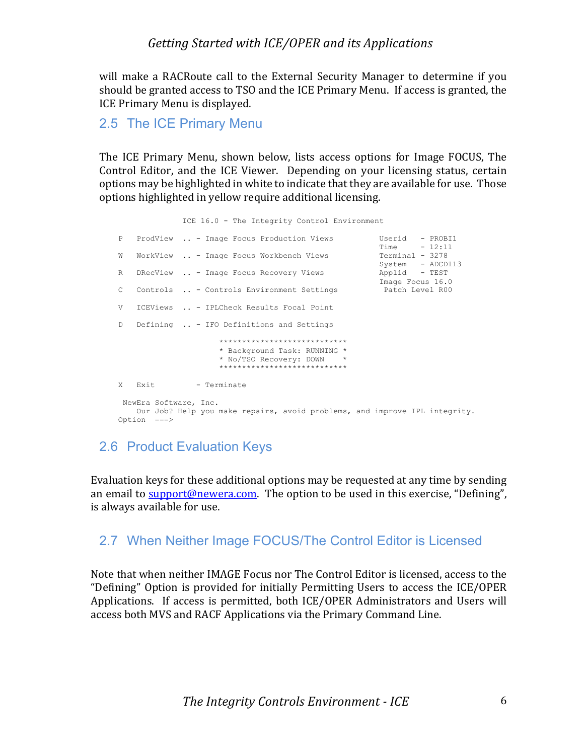will make a RACRoute call to the External Security Manager to determine if you should be granted access to TSO and the ICE Primary Menu. If access is granted, the ICE Primary Menu is displayed.

2.5 The ICE Primary Menu

The ICE Primary Menu, shown below, lists access options for Image FOCUS, The Control Editor, and the ICE Viewer. Depending on your licensing status, certain options may be highlighted in white to indicate that they are available for use. Those options highlighted in yellow require additional licensing.

ICE 16.0 - The Integrity Control Environment

```
P ProdView .. - Image Focus Production Views Userid - PROBI1
Time - 12:11
    W WorkView .. - Image Focus Workbench Views
System - ADCD113
    R DRecView .. - Image Focus Recovery Views
                                                Applid - TEST<br>Image Focus 16.0
    C Controls .. - Controls Environment Settings Patch Level R00
     V ICEViews .. - IPLCheck Results Focal Point
    D Defining .. - IFO Definitions and Settings
                      ****************************
                     * Background Task: RUNNING *
                     * No/TSO Recovery: DOWN *
                      ****************************
    X Exit - Terminate
     NewEra Software, Inc.
       Our Job? Help you make repairs, avoid problems, and improve IPL integrity.
     Option ===>
```
### 2.6 Product Evaluation Keys

Evaluation keys for these additional options may be requested at any time by sending an email to **support@newera.com**. The option to be used in this exercise, "Defining", is always available for use.

### 2.7 When Neither Image FOCUS/The Control Editor is Licensed

Note that when neither IMAGE Focus nor The Control Editor is licensed, access to the "Defining" Option is provided for initially Permitting Users to access the ICE/OPER Applications. If access is permitted, both ICE/OPER Administrators and Users will access both MVS and RACF Applications via the Primary Command Line.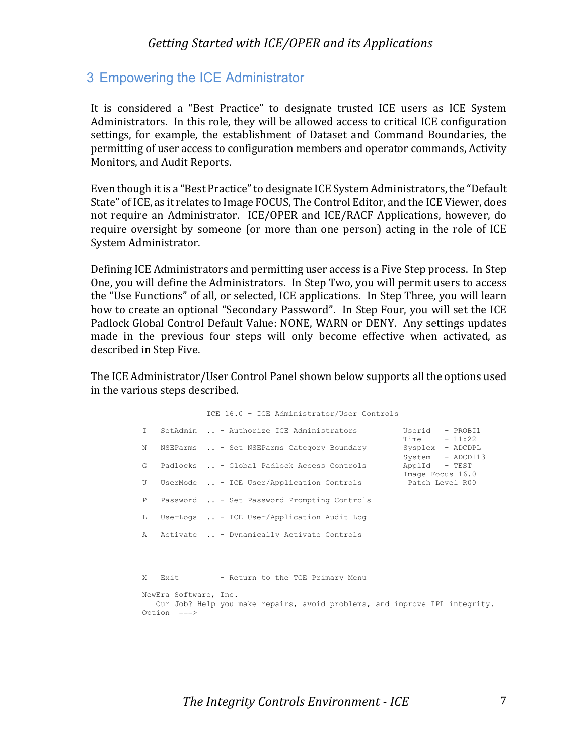#### 3 Empowering the ICE Administrator

It is considered a "Best Practice" to designate trusted ICE users as ICE System Administrators. In this role, they will be allowed access to critical ICE configuration settings, for example, the establishment of Dataset and Command Boundaries, the permitting of user access to configuration members and operator commands, Activity Monitors, and Audit Reports.

Even though it is a "Best Practice" to designate ICE System Administrators, the "Default State" of ICE, as it relates to Image FOCUS, The Control Editor, and the ICE Viewer, does not require an Administrator. ICE/OPER and ICE/RACF Applications, however, do require oversight by someone (or more than one person) acting in the role of ICE System Administrator.

Defining ICE Administrators and permitting user access is a Five Step process. In Step One, you will define the Administrators. In Step Two, you will permit users to access the "Use Functions" of all, or selected, ICE applications. In Step Three, you will learn how to create an optional "Secondary Password". In Step Four, you will set the ICE Padlock Global Control Default Value: NONE, WARN or DENY. Any settings updates made in the previous four steps will only become effective when activated, as described in Step Five.

The ICE Administrator/User Control Panel shown below supports all the options used in the various steps described.

|              |                       | ICE 16.0 - ICE Administrator/User Controls                                         |
|--------------|-----------------------|------------------------------------------------------------------------------------|
| $\mathsf{T}$ |                       | SetAdmin  - Authorize ICE Administrators<br>Userid - PROBI1<br>$Time - 11:22$      |
| N            |                       | NSEParms  - Set NSEParms Category Boundary<br>Sysplex - ADCDPL<br>System - ADCD113 |
| G            |                       | ApplId - TEST<br>Padlocks  - Global Padlock Access Controls<br>Image Focus 16.0    |
| U            |                       | UserMode  - ICE User/Application Controls Patch Level R00                          |
| $\mathbb{P}$ |                       | Password  - Set Password Prompting Controls                                        |
| L            |                       | UserLogs  - ICE User/Application Audit Log                                         |
| $\lambda$    |                       | Activate  - Dynamically Activate Controls                                          |
|              |                       |                                                                                    |
| X            | <b>Exit</b>           | - Return to the TCE Primary Menu                                                   |
|              |                       |                                                                                    |
|              | NewEra Software, Inc. |                                                                                    |
|              | Option ===>           | Our Job? Help you make repairs, avoid problems, and improve IPL integrity.         |
|              |                       |                                                                                    |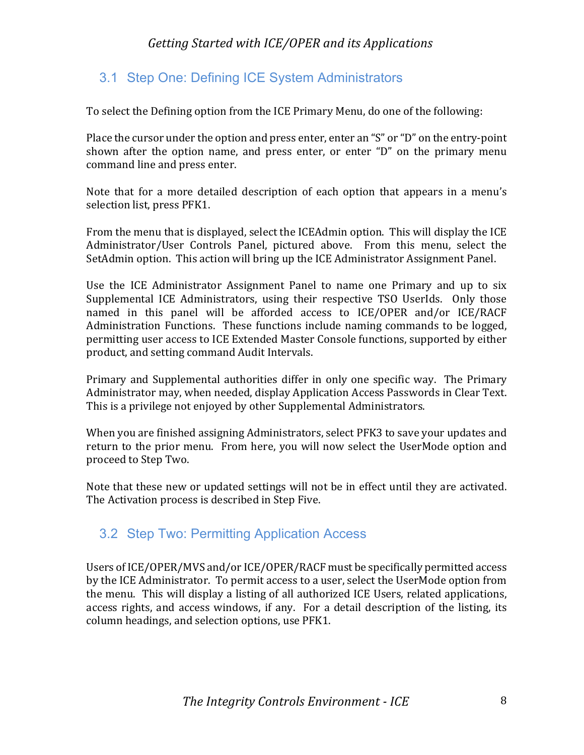# 3.1 Step One: Defining ICE System Administrators

To select the Defining option from the ICE Primary Menu, do one of the following:

Place the cursor under the option and press enter, enter an "S" or "D" on the entry-point shown after the option name, and press enter, or enter "D" on the primary menu command line and press enter.

Note that for a more detailed description of each option that appears in a menu's selection list, press PFK1.

From the menu that is displayed, select the ICEAdmin option. This will display the ICE Administrator/User Controls Panel, pictured above. From this menu, select the SetAdmin option. This action will bring up the ICE Administrator Assignment Panel.

Use the ICE Administrator Assignment Panel to name one Primary and up to six Supplemental ICE Administrators, using their respective TSO UserIds. Only those named in this panel will be afforded access to ICE/OPER and/or ICE/RACF Administration Functions. These functions include naming commands to be logged, permitting user access to ICE Extended Master Console functions, supported by either product, and setting command Audit Intervals.

Primary and Supplemental authorities differ in only one specific way. The Primary Administrator may, when needed, display Application Access Passwords in Clear Text. This is a privilege not enjoyed by other Supplemental Administrators.

When you are finished assigning Administrators, select PFK3 to save your updates and return to the prior menu. From here, you will now select the UserMode option and proceed to Step Two.

Note that these new or updated settings will not be in effect until they are activated. The Activation process is described in Step Five.

# 3.2 Step Two: Permitting Application Access

Users of ICE/OPER/MVS and/or ICE/OPER/RACF must be specifically permitted access by the ICE Administrator. To permit access to a user, select the UserMode option from the menu. This will display a listing of all authorized ICE Users, related applications, access rights, and access windows, if any. For a detail description of the listing, its column headings, and selection options, use PFK1.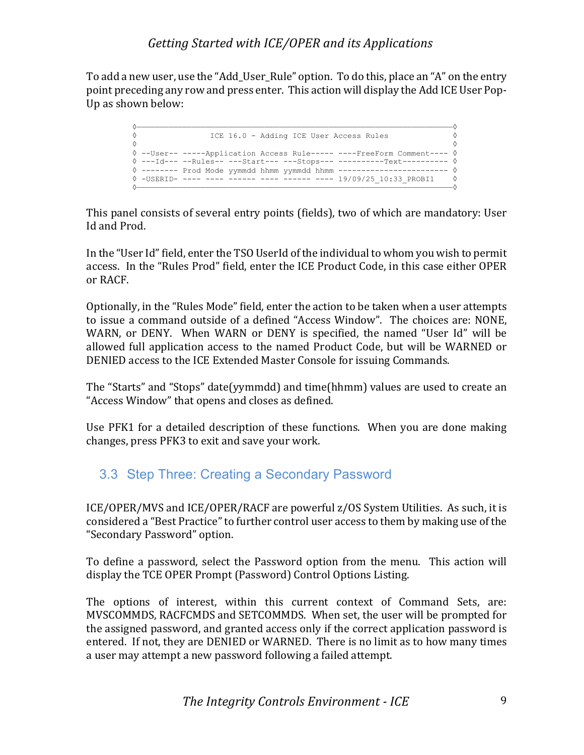To add a new user, use the "Add\_User\_Rule" option. To do this, place an "A" on the entry point preceding any row and press enter. This action will display the Add ICE User Pop-Up as shown below:

```
 ◊—————————————————————————————————————————————————————————————————————◊
        ◊ ICE 16.0 - Adding ICE User Access Rules ◊
\Diamond \Diamond ◊ --User-- -----Application Access Rule----- ----FreeForm Comment---- ◊
        ◊ ---Id--- --Rules-- ---Start--- ---Stops--- ----------Text---------- ◊
        ◊ -------- Prod Mode yymmdd hhmm yymmdd hhmm ------------------------ ◊
        ◊ -USERID- ---- ---- ------ ---- ------ ---- 19/09/25_10:33_PROBI1 ◊
 ◊—————————————————————————————————————————————————————————————————————◊
```
This panel consists of several entry points (fields), two of which are mandatory: User Id and Prod.

In the "User Id" field, enter the TSO UserId of the individual to whom you wish to permit access. In the "Rules Prod" field, enter the ICE Product Code, in this case either OPER or RACF.

Optionally, in the "Rules Mode" field, enter the action to be taken when a user attempts to issue a command outside of a defined "Access Window". The choices are: NONE, WARN, or DENY. When WARN or DENY is specified, the named "User Id" will be allowed full application access to the named Product Code, but will be WARNED or DENIED access to the ICE Extended Master Console for issuing Commands.

The "Starts" and "Stops" date(yymmdd) and time(hhmm) values are used to create an "Access Window" that opens and closes as defined.

Use PFK1 for a detailed description of these functions. When you are done making changes, press PFK3 to exit and save your work.

# 3.3 Step Three: Creating a Secondary Password

ICE/OPER/MVS and ICE/OPER/RACF are powerful z/OS System Utilities. As such, it is considered a "Best Practice" to further control user access to them by making use of the "Secondary Password" option.

To define a password, select the Password option from the menu. This action will display the TCE OPER Prompt (Password) Control Options Listing.

The options of interest, within this current context of Command Sets, are: MVSCOMMDS, RACFCMDS and SETCOMMDS. When set, the user will be prompted for the assigned password, and granted access only if the correct application password is entered. If not, they are DENIED or WARNED. There is no limit as to how many times a user may attempt a new password following a failed attempt.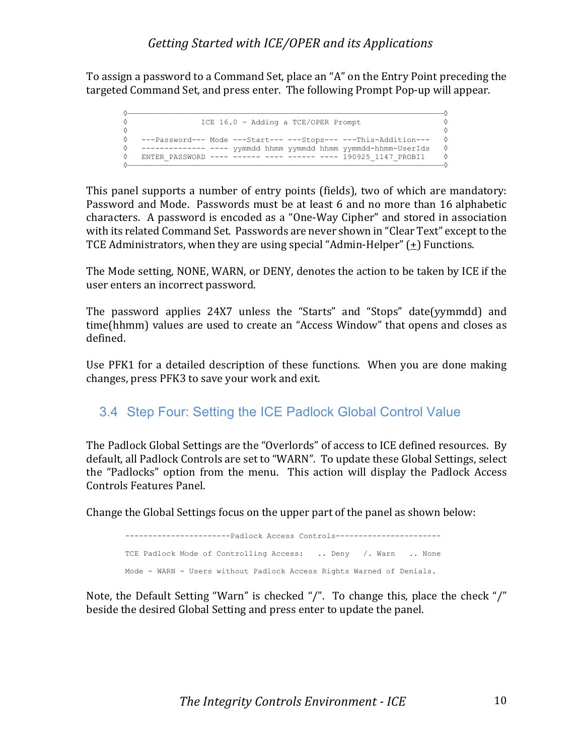To assign a password to a Command Set, place an "A" on the Entry Point preceding the targeted Command Set, and press enter. The following Prompt Pop-up will appear.

```
 ◊—————————————————————————————————————————————————————————————————————◊
 ◊ ICE 16.0 - Adding a TCE/OPER Prompt ◊
\Diamond \Diamond ◊ ---Password--- Mode ---Start--- ---Stops--- ---This-Addition--- ◊
      ◊ -------------- ---- yymmdd hhmm yymmdd hhmm yymmdd-hhmm-UserIds ◊
      ◊ ENTER_PASSWORD ---- ------ ---- ------ ---- 190925_1147_PROBI1 ◊
 ◊—————————————————————————————————————————————————————————————————————◊
```
This panel supports a number of entry points (fields), two of which are mandatory: Password and Mode. Passwords must be at least 6 and no more than 16 alphabetic characters. A password is encoded as a "One-Way Cipher" and stored in association with its related Command Set. Passwords are never shown in "Clear Text" except to the TCE Administrators, when they are using special "Admin-Helper"  $(1)$  Functions.

The Mode setting, NONE, WARN, or DENY, denotes the action to be taken by ICE if the user enters an incorrect password.

The password applies 24X7 unless the "Starts" and "Stops" date(yymmdd) and time(hhmm) values are used to create an "Access Window" that opens and closes as defined.

Use PFK1 for a detailed description of these functions. When you are done making changes, press PFK3 to save your work and exit.

# 3.4 Step Four: Setting the ICE Padlock Global Control Value

The Padlock Global Settings are the "Overlords" of access to ICE defined resources. By default, all Padlock Controls are set to "WARN". To update these Global Settings, select the "Padlocks" option from the menu. This action will display the Padlock Access Controls Features Panel. 

Change the Global Settings focus on the upper part of the panel as shown below:

```
-----------------------Padlock Access Controls-----------------------
TCE Padlock Mode of Controlling Access: .. Deny /. Warn .. None
Mode - WARN - Users without Padlock Access Rights Warned of Denials.
```
Note, the Default Setting "Warn" is checked "/". To change this, place the check "/" beside the desired Global Setting and press enter to update the panel.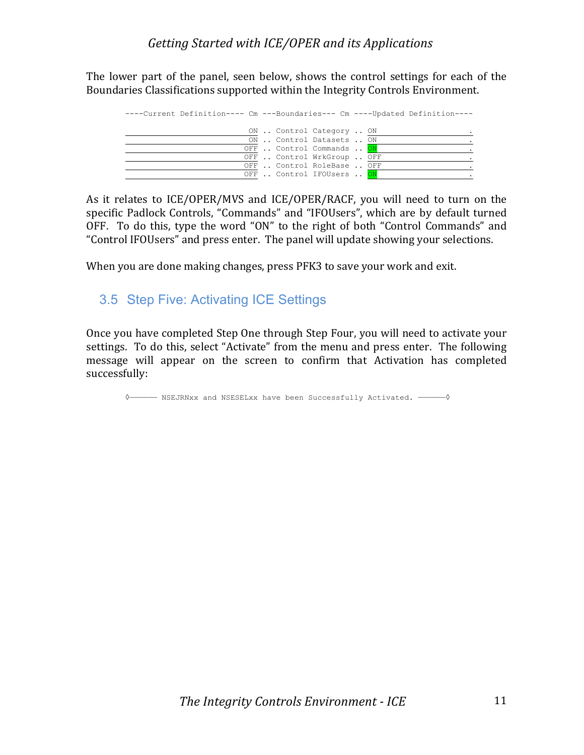The lower part of the panel, seen below, shows the control settings for each of the Boundaries Classifications supported within the Integrity Controls Environment.

| ----Current Definition---- Cm ---Boundaries--- Cm ----Updated Definition---- |                            |  |  |
|------------------------------------------------------------------------------|----------------------------|--|--|
|                                                                              | ON  Control Category  ON   |  |  |
|                                                                              | ON  Control Datasets  ON   |  |  |
|                                                                              | OFF  Control Commands  ON  |  |  |
|                                                                              | OFF  Control WrkGroup  OFF |  |  |
|                                                                              | OFF  Control RoleBase  OFF |  |  |
|                                                                              | OFF  Control IFOUsers  ON  |  |  |

As it relates to ICE/OPER/MVS and ICE/OPER/RACF, you will need to turn on the specific Padlock Controls, "Commands" and "IFOUsers", which are by default turned OFF. To do this, type the word "ON" to the right of both "Control Commands" and "Control IFOUsers" and press enter. The panel will update showing your selections.

When you are done making changes, press PFK3 to save your work and exit.

# 3.5 Step Five: Activating ICE Settings

Once you have completed Step One through Step Four, you will need to activate your settings. To do this, select "Activate" from the menu and press enter. The following message will appear on the screen to confirm that Activation has completed successfully:

◊—————— NSEJRNxx and NSESELxx have been Successfully Activated. ——————◊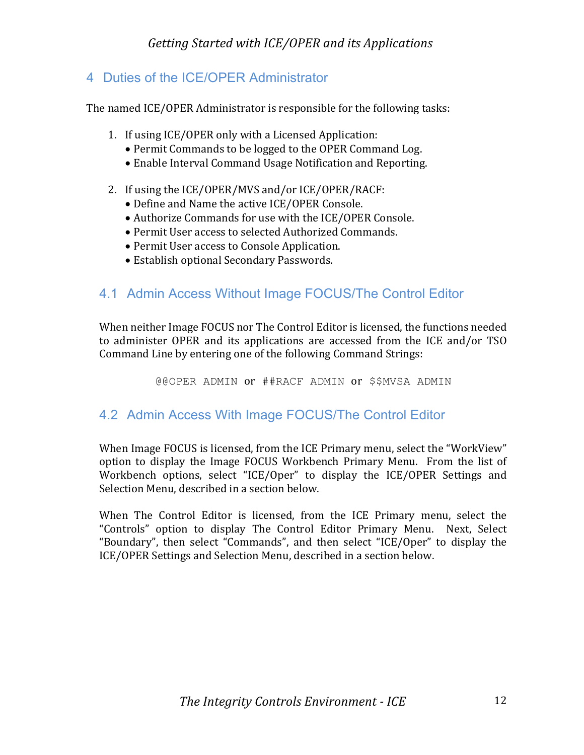# 4 Duties of the ICE/OPER Administrator

The named ICE/OPER Administrator is responsible for the following tasks:

- 1. If using ICE/OPER only with a Licensed Application:
	- Permit Commands to be logged to the OPER Command Log.
	- Enable Interval Command Usage Notification and Reporting.
- 2. If using the ICE/OPER/MVS and/or ICE/OPER/RACF:
	- Define and Name the active ICE/OPER Console.
	- Authorize Commands for use with the ICE/OPER Console.
	- Permit User access to selected Authorized Commands.
	- Permit User access to Console Application.
	- Establish optional Secondary Passwords.

# 4.1 Admin Access Without Image FOCUS/The Control Editor

When neither Image FOCUS nor The Control Editor is licensed, the functions needed to administer OPER and its applications are accessed from the ICE and/or TSO Command Line by entering one of the following Command Strings:

@@OPER ADMIN or ##RACF ADMIN or \$\$MVSA ADMIN

# 4.2 Admin Access With Image FOCUS/The Control Editor

When Image FOCUS is licensed, from the ICE Primary menu, select the "WorkView" option to display the Image FOCUS Workbench Primary Menu. From the list of Workbench options, select "ICE/Oper" to display the ICE/OPER Settings and Selection Menu, described in a section below.

When The Control Editor is licensed, from the ICE Primary menu, select the "Controls" option to display The Control Editor Primary Menu. Next, Select "Boundary", then select "Commands", and then select "ICE/Oper" to display the ICE/OPER Settings and Selection Menu, described in a section below.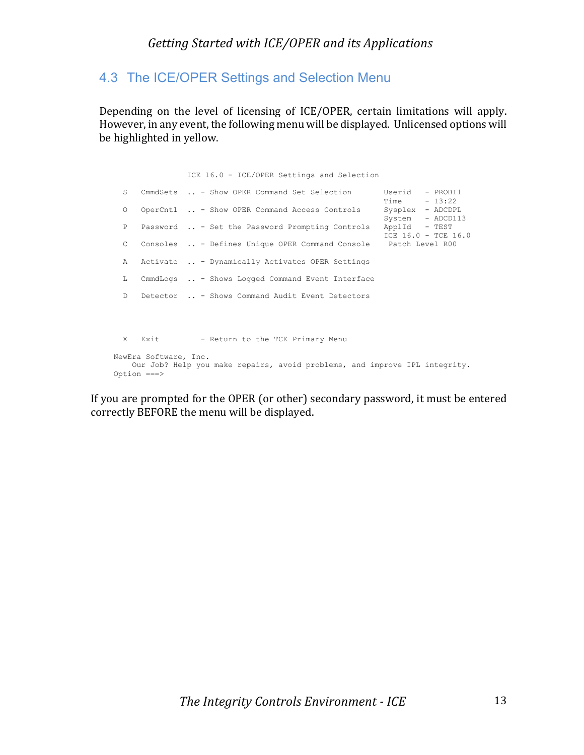# 4.3 The ICE/OPER Settings and Selection Menu

Depending on the level of licensing of ICE/OPER, certain limitations will apply. However, in any event, the following menu will be displayed. Unlicensed options will be highlighted in yellow.

 ICE 16.0 - ICE/OPER Settings and Selection S CmmdSets .. - Show OPER Command Set Selection Userid - PROBI1<br>Time - 13:22  $Time$  - 13:22 O OperCntl .. - Show OPER Command Access Controls Sysplex - ADCDPL System - ADCD113 P Password .. - Set the Password Prompting Controls ApplId - TEST  $ICE$  16.0 - TCE 16.0 C Consoles .. - Defines Unique OPER Command Console Patch Level R00 A Activate .. - Dynamically Activates OPER Settings L CmmdLogs .. - Shows Logged Command Event Interface D Detector .. - Shows Command Audit Event Detectors X Exit - Return to the TCE Primary Menu NewEra Software, Inc. Our Job? Help you make repairs, avoid problems, and improve IPL integrity. Option ===>

If you are prompted for the OPER (or other) secondary password, it must be entered correctly BEFORE the menu will be displayed.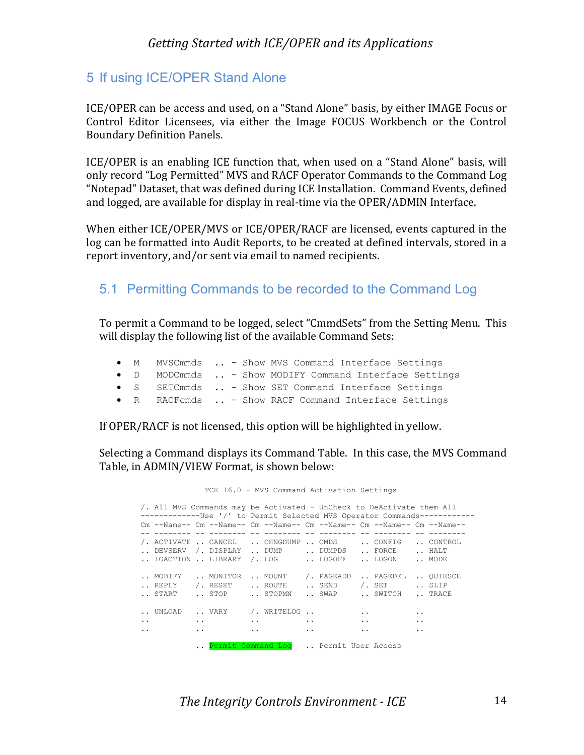## 5 If using ICE/OPER Stand Alone

ICE/OPER can be access and used, on a "Stand Alone" basis, by either IMAGE Focus or Control Editor Licensees, via either the Image FOCUS Workbench or the Control Boundary Definition Panels.

ICE/OPER is an enabling ICE function that, when used on a "Stand Alone" basis, will only record "Log Permitted" MVS and RACF Operator Commands to the Command Log "Notepad" Dataset, that was defined during ICE Installation. Command Events, defined and logged, are available for display in real-time via the  $OPER/ADMIN$  Interface.

When either ICE/OPER/MVS or ICE/OPER/RACF are licensed, events captured in the log can be formatted into Audit Reports, to be created at defined intervals, stored in a report inventory, and/or sent via email to named recipients.

### 5.1 Permitting Commands to be recorded to the Command Log

To permit a Command to be logged, select "CmmdSets" from the Setting Menu. This will display the following list of the available Command Sets:

|  | • M MVSCmmds  - Show MVS Command Interface Settings    |  |
|--|--------------------------------------------------------|--|
|  | • D MODCmmds  - Show MODIFY Command Interface Settings |  |
|  | • S SETCmmds  - Show SET Command Interface Settings    |  |
|  | • R RACFcmds  - Show RACF Command Interface Settings   |  |

If OPER/RACF is not licensed, this option will be highlighted in yellow.

Selecting a Command displays its Command Table. In this case, the MVS Command Table, in ADMIN/VIEW Format, is shown below:

|                      |                                   |           |           | TCE 16.0 - MVS Command Activation Settings                                                                                                         |               |           |                        |                      |  |
|----------------------|-----------------------------------|-----------|-----------|----------------------------------------------------------------------------------------------------------------------------------------------------|---------------|-----------|------------------------|----------------------|--|
|                      |                                   |           |           | /. All MVS Commands may be Activated - UnCheck to DeActivate them All<br>--------------Use '/' to Permit Selected MVS Operator Commands----------- |               |           |                        |                      |  |
|                      |                                   |           |           | $\rm Cm$ --Name-- $\rm Cm$ --Name-- $\rm Cm$ --Name-- $\rm Cm$ --Name-- $\rm Cm$ --Name-- $\rm Cm$ --Name--                                        |               |           |                        |                      |  |
|                      |                                   |           |           | /. ACTIVATE  CANCEL  CHNGDUMP  CMDS  CONFIG  CONTROL<br>DEVSERV $/$ . DISPLAY  DUMP $\cdots$ DUMPDS                                                |               |           | FORCE  HALT            |                      |  |
|                      |                                   |           |           | IOACTION  LIBRARY /. LOG      LOGOFF                                                                                                               |               |           | LOGON  MODE            |                      |  |
|                      | MODIFY  MONITOR                   |           |           | MOUNT /. PAGEADD                                                                                                                                   |               |           | PAGEDEL  OUIESCE       |                      |  |
|                      | $\ldots$ REPLY $\qquad$ / . RESET |           |           | ROUTE  SEND                                                                                                                                        |               |           | $\sqrt{1}$ . SET  SLIP |                      |  |
|                      | START  STOP                       |           |           | STOPMN  SWAP  SWITCH  TRACE                                                                                                                        |               |           |                        |                      |  |
|                      |                                   |           |           | $\ldots$ UNLOAD $\ldots$ VARY / WRITELOG $\ldots$                                                                                                  |               | $\cdot$ . |                        | $\ddot{\phantom{0}}$ |  |
| $\ddot{\phantom{0}}$ |                                   | $\ddotsc$ | $\ddotsc$ |                                                                                                                                                    | $\sim$ $\sim$ | $\ddotsc$ |                        | $\ddot{\phantom{0}}$ |  |
| $\ddot{\phantom{0}}$ |                                   | $\ddotsc$ | $\ddotsc$ |                                                                                                                                                    | $\ddotsc$     | $\ddotsc$ |                        | . .                  |  |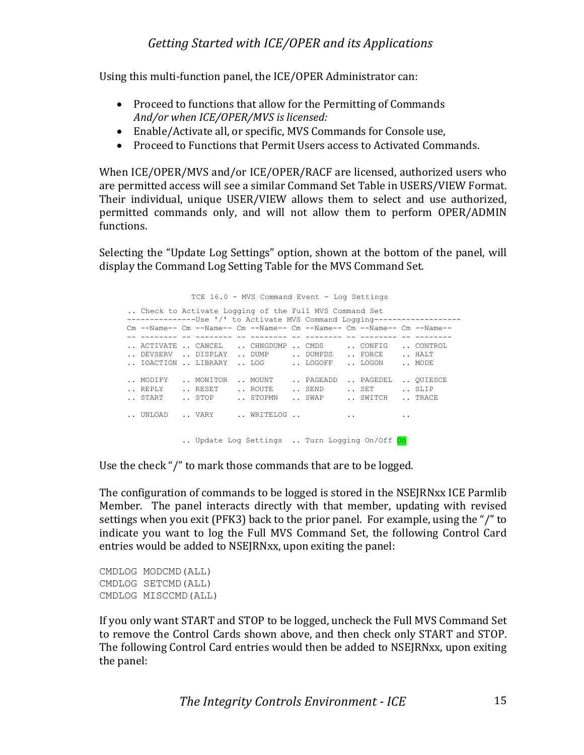Using this multi-function panel, the ICE/OPER Administrator can:

- Proceed to functions that allow for the Permitting of Commands And/or when ICE/OPER/MVS is licensed:
- Enable/Activate all, or specific, MVS Commands for Console use,
- Proceed to Functions that Permit Users access to Activated Commands.

When ICE/OPER/MVS and/or ICE/OPER/RACF are licensed, authorized users who are permitted access will see a similar Command Set Table in USERS/VIEW Format. Their individual, unique USER/VIEW allows them to select and use authorized, permitted commands only, and will not allow them to perform OPER/ADMIN functions. 

Selecting the "Update Log Settings" option, shown at the bottom of the panel, will display the Command Log Setting Table for the MVS Command Set.

 TCE 16.0 - MVS Command Event - Log Settings .. Check to Activate Logging of the Full MVS Command Set -----------------Use '/' to Activate MVS Command Logging------------------ Cm --Name-- Cm --Name-- Cm --Name-- Cm --Name-- Cm --Name-- Cm --Name-- -- -------- -- -------- -- -------- -- -------- -- -------- -- -------- .. ACTIVATE .. CANCEL .. CHNGDUMP .. CMDS .. CONFIG .. CONTROL .. DEVSERV .. DISPLAY .. DUMP .. DUMPDS .. FORCE .. HALT .. IOACTION .. LIBRARY .. LOG .. LOGOFF .. LOGON .. MODE .. MODIFY .. MONITOR .. MOUNT .. PAGEADD .. PAGEDEL .. QUIESCE .. REPLY ... RESET ... ROUTE ... SEND ... SET ... SLIP .. START .. STOP .. STOPMN .. SWAP .. SWITCH .. TRACE .. UNLOAD .. VARY .. WRITELOG .. .. Update Log Settings .. Turn Logging On/Off On

Use the check "/" to mark those commands that are to be logged.

The configuration of commands to be logged is stored in the NSEJRNxx ICE Parmlib Member. The panel interacts directly with that member, updating with revised settings when you exit (PFK3) back to the prior panel. For example, using the "/" to indicate you want to log the Full MVS Command Set, the following Control Card entries would be added to NSEJRNxx, upon exiting the panel:

CMDLOG MODCMD(ALL) CMDLOG SETCMD(ALL) CMDLOG MISCCMD(ALL)

If you only want START and STOP to be logged, uncheck the Full MVS Command Set to remove the Control Cards shown above, and then check only START and STOP. The following Control Card entries would then be added to NSEJRNxx, upon exiting the panel: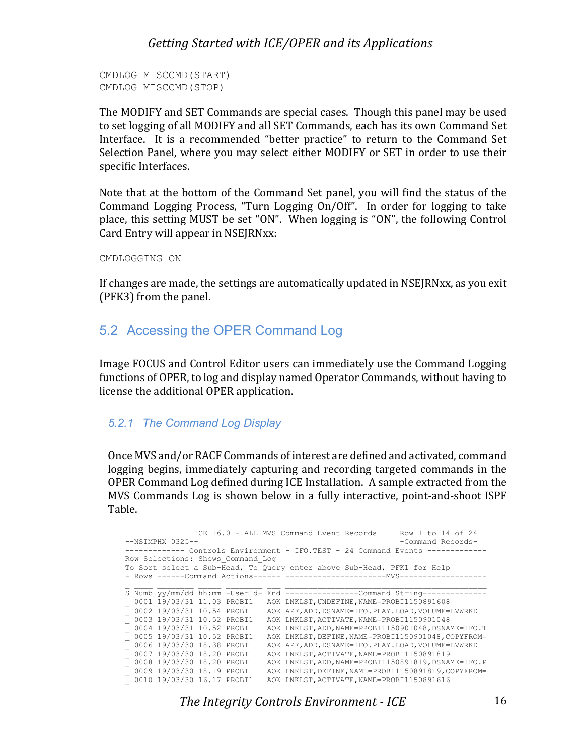```
CMDLOG MISCCMD(START)
CMDLOG MISCCMD(STOP)
```
The MODIFY and SET Commands are special cases. Though this panel may be used to set logging of all MODIFY and all SET Commands, each has its own Command Set Interface. It is a recommended "better practice" to return to the Command Set Selection Panel, where you may select either MODIFY or SET in order to use their specific Interfaces.

Note that at the bottom of the Command Set panel, you will find the status of the Command Logging Process, "Turn Logging On/Off". In order for logging to take place, this setting MUST be set "ON". When logging is "ON", the following Control Card Entry will appear in NSEJRNxx:

CMDLOGGING ON

If changes are made, the settings are automatically updated in NSEJRNxx, as you exit (PFK3) from the panel.

# 5.2 Accessing the OPER Command Log

Image FOCUS and Control Editor users can immediately use the Command Logging functions of OPER, to log and display named Operator Commands, without having to license the additional OPER application.

#### *5.2.1 The Command Log Display*

Once MVS and/or RACF Commands of interest are defined and activated, command logging begins, immediately capturing and recording targeted commands in the OPER Command Log defined during ICE Installation. A sample extracted from the MVS Commands Log is shown below in a fully interactive, point-and-shoot ISPF Table.

```
ICE 16.0 - ALL MVS Command Event Records Row 1 to 14 of 24<br>--NSIMPHX 0325-- Command Records-
                                                                             -Command Records-
------------ Controls Environment - IFO.TEST - 24 Command Events -------------
Row Selections: Shows_Command_Log
To Sort select a Sub-Head, To Query enter above Sub-Head, PFK1 for Help
- Rows ------Command Actions------ ----------------------MVS-------------------
\mathcal{L}_\mathcal{L} = \mathcal{L}_\mathcal{L} = \mathcal{L}_\mathcal{L} = \mathcal{L}_\mathcal{L} = \mathcal{L}_\mathcal{L} = \mathcal{L}_\mathcal{L} = \mathcal{L}_\mathcal{L} = \mathcal{L}_\mathcal{L} = \mathcal{L}_\mathcal{L} = \mathcal{L}_\mathcal{L} = \mathcal{L}_\mathcal{L} = \mathcal{L}_\mathcal{L} = \mathcal{L}_\mathcal{L} = \mathcal{L}_\mathcal{L} = \mathcal{L}_\mathcal{L} = \mathcal{L}_\mathcal{L} = \mathcal{L}_\mathcal{L}S Numb yy/mm/dd hh:mm -UserId- Fnd ----------------Command String--------------
_ 0001 19/03/31 11.03 PROBI1 AOK LNKLST,UNDEFINE,NAME=PROBI1150891608
 _ 0002 19/03/31 10.54 PROBI1 AOK APF,ADD,DSNAME=IFO.PLAY.LOAD,VOLUME=LVWRKD
_ 0003 19/03/31 10.52 PROBI1 AOK LNKLST,ACTIVATE,NAME=PROBI1150901048
_ 0004 19/03/31 10.52 PROBI1 AOK LNKLST,ADD,NAME=PROBI1150901048,DSNAME=IFO.T
_ 0005 19/03/31 10.52 PROBI1 AOK LNKLST,DEFINE,NAME=PROBI1150901048,COPYFROM=
_ 0006 19/03/30 18.38 PROBI1 AOK APF,ADD,DSNAME=IFO.PLAY.LOAD,VOLUME=LVWRKD
_ 0007 19/03/30 18.20 PROBI1 AOK LNKLST,ACTIVATE,NAME=PROBI1150891819
_ 0008 19/03/30 18.20 PROBI1 AOK LNKLST,ADD,NAME=PROBI1150891819,DSNAME=IFO.P
_ 0009 19/03/30 18.19 PROBI1 AOK LNKLST,DEFINE,NAME=PROBI1150891819,COPYFROM=
_ 0010 19/03/30 16.17 PROBI1 AOK LNKLST,ACTIVATE,NAME=PROBI1150891616
```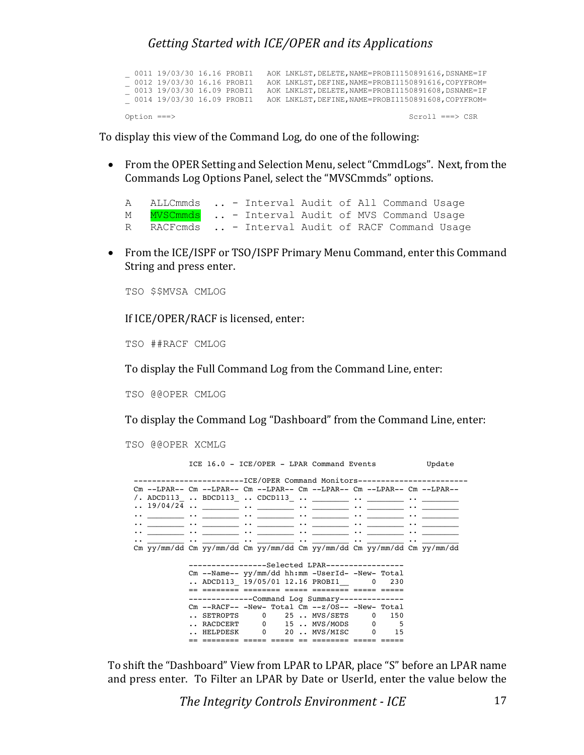|             | 0011 19/03/30 16.16 PROBI1<br>0012 19/03/30 16.16 PROBI1 |  | AOK LNKLST, DELETE, NAME=PROBI1150891616, DSNAME=IF<br>AOK LNKLST, DEFINE, NAME=PROBI1150891616, COPYFROM= |
|-------------|----------------------------------------------------------|--|------------------------------------------------------------------------------------------------------------|
|             | 0013 19/03/30 16.09 PROBI1                               |  | AOK LNKLST, DELETE, NAME=PROBI1150891608, DSNAME=IF                                                        |
|             | 0014 19/03/30 16.09 PROBI1                               |  | AOK LNKLST, DEFINE, NAME=PROBI1150891608, COPYFROM=                                                        |
| Option ===> |                                                          |  | $Scroll == > CSR$                                                                                          |

To display this view of the Command Log, do one of the following:

• From the OPER Setting and Selection Menu, select "CmmdLogs". Next, from the Commands Log Options Panel, select the "MVSCmmds" options.

|   | A ALLCmmds  - Interval Audit of All Command Usage  |  |  |  |  |
|---|----------------------------------------------------|--|--|--|--|
| М | NVSCmmds  - Interval Audit of MVS Command Usage    |  |  |  |  |
|   | R RACFcmds  - Interval Audit of RACF Command Usage |  |  |  |  |

• From the ICE/ISPF or TSO/ISPF Primary Menu Command, enter this Command String and press enter.

TSO \$\$MVSA CMLOG

If ICE/OPER/RACF is licensed, enter:

TSO ##RACF CMLOG

To display the Full Command Log from the Command Line, enter:

TSO @@OPER CMLOG

To display the Command Log "Dashboard" from the Command Line, enter:

TSO @@OPER XCMLG

|  | ICE 16.0 - ICE/OPER - LPAR Command Events                                                                                                                                                                                          |  | Update                                                                                                                                    |
|--|------------------------------------------------------------------------------------------------------------------------------------------------------------------------------------------------------------------------------------|--|-------------------------------------------------------------------------------------------------------------------------------------------|
|  | ------------------------ICE/OPER Command Monitors------------------                                                                                                                                                                |  |                                                                                                                                           |
|  |                                                                                                                                                                                                                                    |  | $\texttt{Cm}$ --LPAR-- $\texttt{Cm}$ --LPAR-- $\texttt{Cm}$ --LPAR-- $\texttt{Cm}$ --LPAR-- $\texttt{Cm}$ --LPAR-- $\texttt{Cm}$ --LPAR-- |
|  |                                                                                                                                                                                                                                    |  |                                                                                                                                           |
|  |                                                                                                                                                                                                                                    |  |                                                                                                                                           |
|  |                                                                                                                                                                                                                                    |  | $\cdots$ . The set of $\cdots$                                                                                                            |
|  | اللياني فقال التي تعدد التي تعدد التي تعدد التي تعدد التي تعدد التي تعدد التي تعدد التي تعدد التي تعدد المعدد ا                                                                                                                    |  |                                                                                                                                           |
|  | $\bullet$ , and the set of the set of the set of the set of the set of the set of the set of the set of the set of the set of the set of the set of the set of the set of the set of the set of the set of the set of the set of t |  |                                                                                                                                           |
|  | والمستحدث والمستقيم والمستحدث والمستقيم والمستحدث والمستحدث والمستحدث والمستحدث والمستحدث والمستحدث والمتعارض والمتعارض                                                                                                            |  |                                                                                                                                           |
|  |                                                                                                                                                                                                                                    |  | Cm yy/mm/dd Cm yy/mm/dd Cm yy/mm/dd Cm yy/mm/dd Cm yy/mm/dd Cm yy/mm/dd                                                                   |
|  | ------------------Selected LPAR-----------------                                                                                                                                                                                   |  |                                                                                                                                           |
|  | Cm --Name-- yy/mm/dd hh:mm -UserId- -New- Total                                                                                                                                                                                    |  |                                                                                                                                           |
|  | ADCD113 19/05/01 12.16 PROBI1 0 230                                                                                                                                                                                                |  |                                                                                                                                           |
|  |                                                                                                                                                                                                                                    |  |                                                                                                                                           |
|  | -------------Command Log Summary-------------                                                                                                                                                                                      |  |                                                                                                                                           |
|  | $\texttt{Cm}$ --RACF-- -New- Total $\texttt{Cm}$ --z/OS-- -New- Total                                                                                                                                                              |  |                                                                                                                                           |
|  | SETROPTS 0 25 MVS/SETS 0 150                                                                                                                                                                                                       |  |                                                                                                                                           |
|  |                                                                                                                                                                                                                                    |  |                                                                                                                                           |
|  | HELPDESK 0 20 MVS/MISC 0 15                                                                                                                                                                                                        |  |                                                                                                                                           |
|  |                                                                                                                                                                                                                                    |  |                                                                                                                                           |

To shift the "Dashboard" View from LPAR to LPAR, place "S" before an LPAR name and press enter. To Filter an LPAR by Date or UserId, enter the value below the

**The Integrity Controls Environment - ICE** 17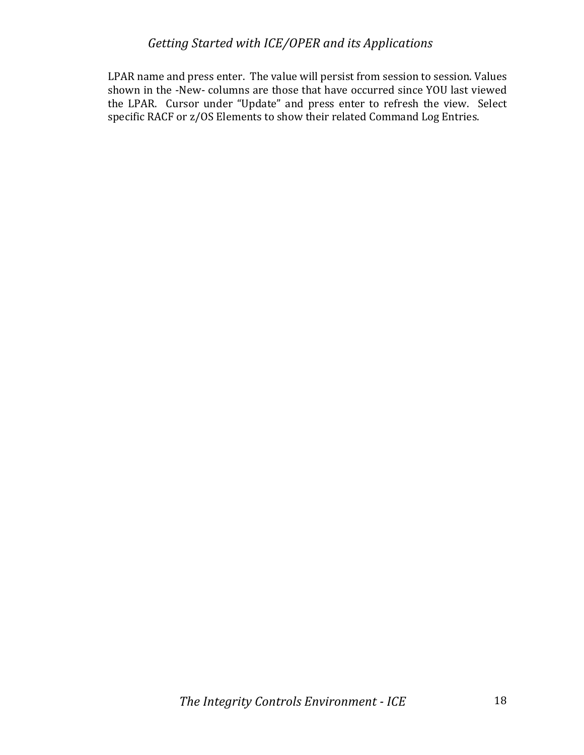LPAR name and press enter. The value will persist from session to session. Values shown in the -New- columns are those that have occurred since YOU last viewed the LPAR. Cursor under "Update" and press enter to refresh the view. Select specific RACF or z/OS Elements to show their related Command Log Entries.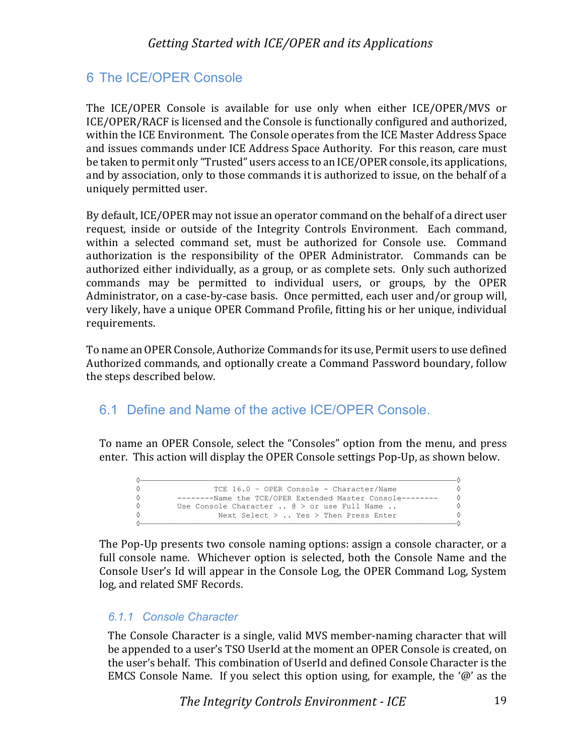# 6 The ICE/OPER Console

The ICE/OPER Console is available for use only when either ICE/OPER/MVS or ICE/OPER/RACF is licensed and the Console is functionally configured and authorized, within the ICE Environment. The Console operates from the ICE Master Address Space and issues commands under ICE Address Space Authority. For this reason, care must be taken to permit only "Trusted" users access to an ICE/OPER console, its applications, and by association, only to those commands it is authorized to issue, on the behalf of a uniquely permitted user.

By default, ICE/OPER may not issue an operator command on the behalf of a direct user request, inside or outside of the Integrity Controls Environment. Each command, within a selected command set, must be authorized for Console use. Command authorization is the responsibility of the OPER Administrator. Commands can be authorized either individually, as a group, or as complete sets. Only such authorized commands may be permitted to individual users, or groups, by the OPER Administrator, on a case-by-case basis. Once permitted, each user and/or group will, very likely, have a unique OPER Command Profile, fitting his or her unique, individual requirements.

To name an OPER Console, Authorize Commands for its use, Permit users to use defined Authorized commands, and optionally create a Command Password boundary, follow the steps described below.

# 6.1 Define and Name of the active ICE/OPER Console.

To name an OPER Console, select the "Consoles" option from the menu, and press enter. This action will display the OPER Console settings Pop-Up, as shown below.

| TCE 16.0 - OPER Console - Character/Name                     |  |
|--------------------------------------------------------------|--|
| --------Name the TCE/OPER Extended Master Console--------    |  |
| Use Console Character $\ldots$ @ > or use Full Name $\ldots$ |  |
| Next Select $>$ Yes $>$ Then Press Enter                     |  |
|                                                              |  |

The Pop-Up presents two console naming options: assign a console character, or a full console name. Whichever option is selected, both the Console Name and the Console User's Id will appear in the Console Log, the OPER Command Log, System log, and related SMF Records.

#### *6.1.1 Console Character*

The Console Character is a single, valid MVS member-naming character that will be appended to a user's TSO UserId at the moment an OPER Console is created, on the user's behalf. This combination of UserId and defined Console Character is the EMCS Console Name. If you select this option using, for example, the ' $\omega$ ' as the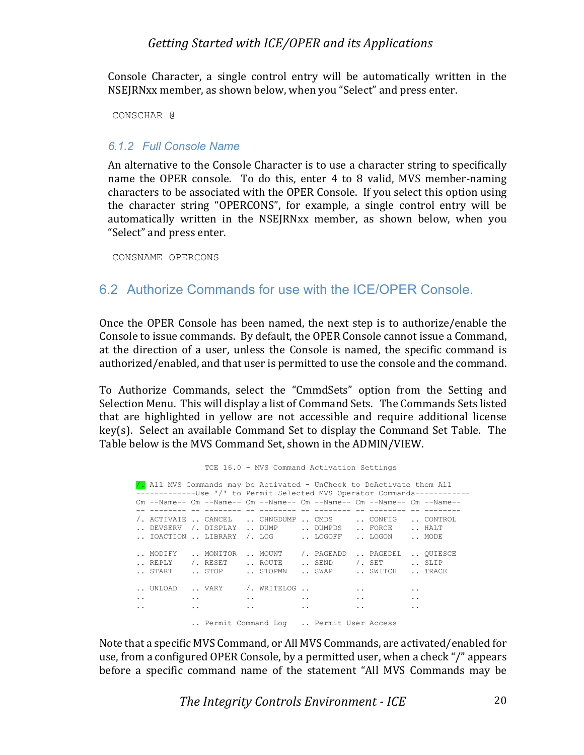Console Character, a single control entry will be automatically written in the NSEJRNxx member, as shown below, when you "Select" and press enter.

CONSCHAR @

#### *6.1.2 Full Console Name*

An alternative to the Console Character is to use a character string to specifically name the OPER console. To do this, enter 4 to 8 valid, MVS member-naming characters to be associated with the OPER Console. If you select this option using the character string "OPERCONS", for example, a single control entry will be automatically written in the NSEJRNxx member, as shown below, when you "Select" and press enter.

CONSNAME OPERCONS

### 6.2 Authorize Commands for use with the ICE/OPER Console.

Once the OPER Console has been named, the next step is to authorize/enable the Console to issue commands. By default, the OPER Console cannot issue a Command, at the direction of a user, unless the Console is named, the specific command is authorized/enabled, and that user is permitted to use the console and the command.

To Authorize Commands, select the "CmmdSets" option from the Setting and Selection Menu. This will display a list of Command Sets. The Commands Sets listed that are highlighted in yellow are not accessible and require additional license  $key(s)$ . Select an available Command Set to display the Command Set Table. The Table below is the MVS Command Set, shown in the ADMIN/VIEW.

 TCE 16.0 - MVS Command Activation Settings /. All MVS Commands may be Activated - UnCheck to DeActivate them All ------------Use '/' to Permit Selected MVS Operator Commands------------ Cm --Name-- Cm --Name-- Cm --Name-- Cm --Name-- Cm --Name-- Cm --Name-- -- -------- -- -------- -- -------- -- -------- -- -------- -- -------- /. ACTIVATE .. CANCEL .. CHNGDUMP .. CMDS .. CONFIG .. CONTROL .. DEVSERV /. DISPLAY .. DUMP .. DUMPDS .. FORCE .. HALT .. IOACTION .. LIBRARY /. LOG ... LOGOFF ... LOGON ... MODE .. MODIFY .. MONITOR .. MOUNT /. PAGEADD .. PAGEDEL .. QUIESCE .. REPLY ( / RESET .. ROUTE .. SEND ( / SET .. SLIP .. START .. STOP .. STOPMN .. SWAP .. SWITCH .. TRACE .. UNLOAD .. VARY /. WRITELOG .. .. .. .. .. .. .. .. .. .. .. .. .. .. .. .. Permit Command Log .. Permit User Access

Note that a specific MVS Command, or All MVS Commands, are activated/enabled for use, from a configured OPER Console, by a permitted user, when a check "/" appears before a specific command name of the statement "All MVS Commands may be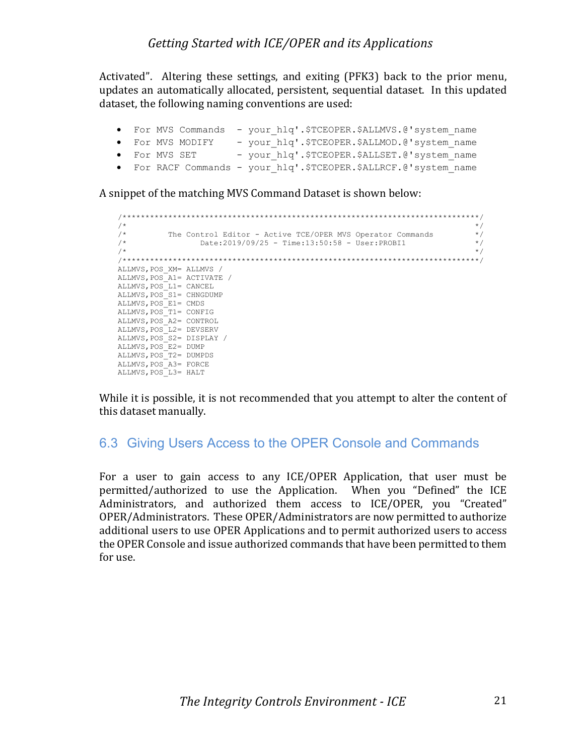Activated". Altering these settings, and exiting (PFK3) back to the prior menu, updates an automatically allocated, persistent, sequential dataset. In this updated dataset, the following naming conventions are used:

|  | • For MVS Commands - your hlq'.\$TCEOPER.\$ALLMVS.@'system name  |  |                                              |  |  |
|--|------------------------------------------------------------------|--|----------------------------------------------|--|--|
|  | • For MVS MODIFY                                                 |  | - your hlq'.\$TCEOPER.\$ALLMOD.@'system name |  |  |
|  | • For MVS SET                                                    |  | - your hlq'.\$TCEOPER.\$ALLSET.@'system name |  |  |
|  | • For RACF Commands - your hlq'.\$TCEOPER.\$ALLRCF.@'system name |  |                                              |  |  |

A snippet of the matching MVS Command Dataset is shown below:

```
 /******************************************************************************/
\sqrt{\frac{1}{\pi}} */
   /* The Control Editor - Active TCE/OPER MVS Operator Commands \begin{array}{ccc} \n \star & \uparrow & \uparrow \\
 \hline\n \end{array} /* Date:2019/09/25 - Time:13:50:58 - User:PROBI1 */
\sqrt{\frac{1}{\pi}} */
 /******************************************************************************/
   ALLMVS,POS_XM= ALLMVS /
   ALLMVS,POS_A1= ACTIVATE /
  ALLMVS, POS L1= CANCEL
  ALLMVS, POS S1= CHNGDUMP
   ALLMVS,POS_E1= CMDS
 ALLMVS,POS_T1= CONFIG
 ALLMVS,POS_A2= CONTROL
  ALLMVS, POS L2= DEVSERV
   ALLMVS,POS_S2= DISPLAY /
  ALLMVS, POS E2= DUMP
  ALLMVS, POS<sup>T</sup>2= DUMPDS
   ALLMVS,POS_A3= FORCE
   ALLMVS,POS_L3= HALT
```
While it is possible, it is not recommended that you attempt to alter the content of this dataset manually.

### 6.3 Giving Users Access to the OPER Console and Commands

For a user to gain access to any ICE/OPER Application, that user must be permitted/authorized to use the Application. When you "Defined" the ICE Administrators, and authorized them access to ICE/OPER, you "Created" OPER/Administrators. These OPER/Administrators are now permitted to authorize additional users to use OPER Applications and to permit authorized users to access the OPER Console and issue authorized commands that have been permitted to them for use.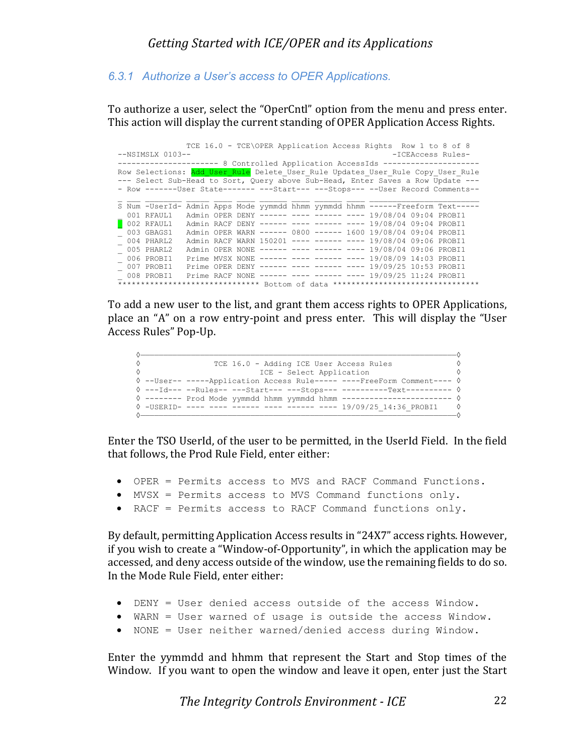#### *6.3.1 Authorize a User's access to OPER Applications.*

To authorize a user, select the "OperCntl" option from the menu and press enter. This action will display the current standing of OPER Application Access Rights.

|                                                                                 |                                     |  |  |  |  |  |  |  | TCE 16.0 - TCE\OPER Application Access Rights Row 1 to 8 of 8       |                                                                                 |
|---------------------------------------------------------------------------------|-------------------------------------|--|--|--|--|--|--|--|---------------------------------------------------------------------|---------------------------------------------------------------------------------|
|                                                                                 | $--NSIMSLX 0103--$                  |  |  |  |  |  |  |  |                                                                     | -ICEAccess Rules-                                                               |
|                                                                                 |                                     |  |  |  |  |  |  |  | ------------------ 8 Controlled Application AccessIds ------------- |                                                                                 |
| Row Selections: Add User Rule Delete User Rule Updates User Rule Copy User Rule |                                     |  |  |  |  |  |  |  |                                                                     |                                                                                 |
| --- Select Sub-Head to Sort, Query above Sub-Head, Enter Saves a Row Update --- |                                     |  |  |  |  |  |  |  |                                                                     |                                                                                 |
|                                                                                 |                                     |  |  |  |  |  |  |  |                                                                     | - Row -------User State------- ---Start--- ---Stops--- --User Record Comments-- |
|                                                                                 |                                     |  |  |  |  |  |  |  |                                                                     |                                                                                 |
|                                                                                 | S Num -UserId-                      |  |  |  |  |  |  |  |                                                                     | Admin Apps Mode yymmdd hhmm yymmdd hhmm -----Freeform Text-----                 |
|                                                                                 | 001 RFAUL1                          |  |  |  |  |  |  |  | Admin OPER DENY ------ ---- ------ ---- 19/08/04 09:04 PROBI1       |                                                                                 |
|                                                                                 | $\overline{\phantom{a}}$ 002 RFAUL1 |  |  |  |  |  |  |  | Admin RACF DENY ------ ---- ------ ---- 19/08/04 09:04 PROBI1       |                                                                                 |
|                                                                                 | 003 GBAGS1                          |  |  |  |  |  |  |  | Admin OPER WARN ------ 0800 ------ 1600 19/08/04 09:04 PROBI1       |                                                                                 |
|                                                                                 | 004 PHARL2                          |  |  |  |  |  |  |  | Admin RACF WARN 150201 ---- ------ ---- 19/08/04 09:06 PROBI1       |                                                                                 |
|                                                                                 | 005 PHARL2                          |  |  |  |  |  |  |  | Admin OPER NONE ------ ---- ----- ---- 19/08/04 09:06 PROBI1        |                                                                                 |
|                                                                                 | 006 PROBI1                          |  |  |  |  |  |  |  | Prime MVSX NONE ------ ---- ----- ---- 19/08/09 14:03 PROBI1        |                                                                                 |
|                                                                                 | 007 PROBI1                          |  |  |  |  |  |  |  | Prime OPER DENY ------ ---- ------ ---- 19/09/25 10:53 PROBI1       |                                                                                 |
|                                                                                 | 008 PROBI1                          |  |  |  |  |  |  |  | Prime RACF NONE ------ ---- ------ ---- 19/09/25 11:24 PROBI1       |                                                                                 |
|                                                                                 | *******************************     |  |  |  |  |  |  |  |                                                                     |                                                                                 |

To add a new user to the list, and grant them access rights to OPER Applications, place an "A" on a row entry-point and press enter. This will display the "User Access Rules" Pop-Up.

```
 ◊—————————————————————————————————————————————————————————————————————◊
 ◊ TCE 16.0 - Adding ICE User Access Rules ◊
       ◊ ICE - Select Application ◊
       ◊ --User-- -----Application Access Rule----- ----FreeForm Comment---- ◊
       ◊ ---Id--- --Rules-- ---Start--- ---Stops--- ----------Text---------- ◊
       ◊ -------- Prod Mode yymmdd hhmm yymmdd hhmm ------------------------ ◊
       ◊ -USERID- ---- ---- ------ ---- ------ ---- 19/09/25_14:36_PROBI1 ◊
 ◊—————————————————————————————————————————————————————————————————————◊
```
Enter the TSO UserId, of the user to be permitted, in the UserId Field. In the field that follows, the Prod Rule Field, enter either:

- OPER = Permits access to MVS and RACF Command Functions.
- MVSX = Permits access to MVS Command functions only.
- RACF = Permits access to RACF Command functions only.

By default, permitting Application Access results in "24X7" access rights. However, if you wish to create a "Window-of-Opportunity", in which the application may be accessed, and deny access outside of the window, use the remaining fields to do so. In the Mode Rule Field, enter either:

- DENY = User denied access outside of the access Window.
- WARN = User warned of usage is outside the access Window.
- NONE = User neither warned/denied access during Window.

Enter the yymmdd and hhmm that represent the Start and Stop times of the Window. If you want to open the window and leave it open, enter just the Start

*The Integrity Controls Environment - ICE* 22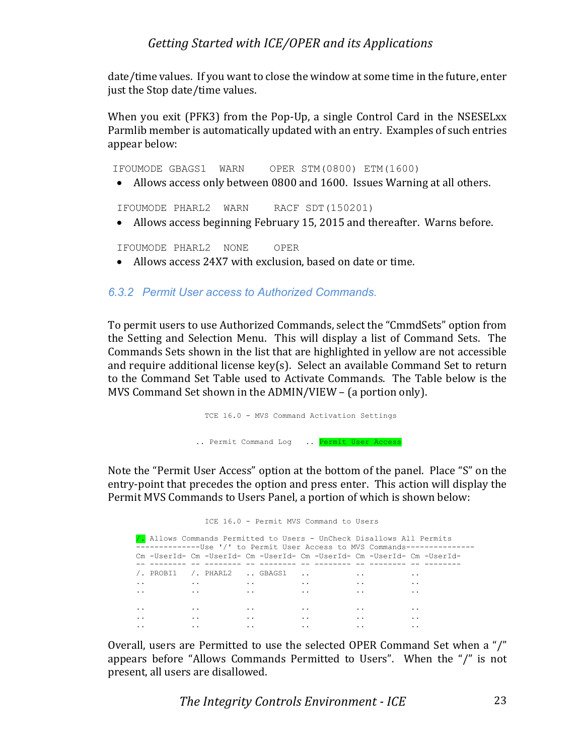date/time values. If you want to close the window at some time in the future, enter just the Stop date/time values.

When you exit (PFK3) from the Pop-Up, a single Control Card in the NSESELxx Parmlib member is automatically updated with an entry. Examples of such entries appear below:

IFOUMODE GBAGS1 WARN OPER STM(0800) ETM(1600)

• Allows access only between 0800 and 1600. Issues Warning at all others.

IFOUMODE PHARL2 WARN RACF SDT(150201)

• Allows access beginning February 15, 2015 and thereafter. Warns before.

IFOUMODE PHARL2 NONE OPER

• Allows access 24X7 with exclusion, based on date or time.

#### *6.3.2 Permit User access to Authorized Commands.*

To permit users to use Authorized Commands, select the "CmmdSets" option from the Setting and Selection Menu. This will display a list of Command Sets. The Commands Sets shown in the list that are highlighted in yellow are not accessible and require additional license  $key(s)$ . Select an available Command Set to return to the Command Set Table used to Activate Commands. The Table below is the MVS Command Set shown in the ADMIN/VIEW  $-$  (a portion only).

> TCE 16.0 - MVS Command Activation Settings .. Permit Command Log .. Permit User Access

Note the "Permit User Access" option at the bottom of the panel. Place "S" on the entry-point that precedes the option and press enter. This action will display the Permit MVS Commands to Users Panel, a portion of which is shown below:

ICE 16.0 - Permit MVS Command to Users

 /. Allows Commands Permitted to Users - UnCheck Disallows All Permits --------------Use '/' to Permit User Access to MVS Commands--------------- Cm -UserId- Cm -UserId- Cm -UserId- Cm -UserId- Cm -UserId- Cm -UserId- -- -------- -- -------- -- -------- -- -------- -- -------- -- -------- /. PROBI1 /. PHARL2 .. GBAGS1 .. .. .. .. .. .. .. .. .. .. .. .. .. .. .. .. .. .. .. .. .. .. .. .. .. .. .. .. .. .. .. .. ..

Overall, users are Permitted to use the selected OPER Command Set when a "/" appears before "Allows Commands Permitted to Users". When the " $/$ " is not present, all users are disallowed.

*The Integrity Controls Environment - ICE* 23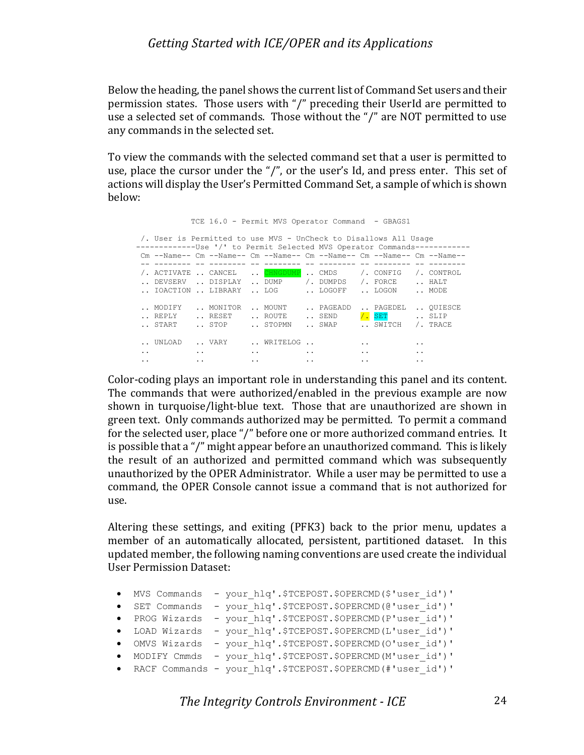Below the heading, the panel shows the current list of Command Set users and their permission states. Those users with "/" preceding their UserId are permitted to use a selected set of commands. Those without the " $\prime$ " are NOT permitted to use any commands in the selected set.

To view the commands with the selected command set that a user is permitted to use, place the cursor under the "/", or the user's Id, and press enter. This set of actions will display the User's Permitted Command Set, a sample of which is shown below:

TCE 16.0 - Permit MVS Operator Command - GBAGS1

|                                               | /. User is Permitted to use MVS - UnCheck to Disallows All Usage<br>--------------Use '/' to Permit Selected MVS Operator Commands----------- |                                              |                          |                                              |                          |                                         |                             |                                                                      |                                   |                                                       |                             |
|-----------------------------------------------|-----------------------------------------------------------------------------------------------------------------------------------------------|----------------------------------------------|--------------------------|----------------------------------------------|--------------------------|-----------------------------------------|-----------------------------|----------------------------------------------------------------------|-----------------------------------|-------------------------------------------------------|-----------------------------|
|                                               | $\rm Cm$ --Name-- $\rm Cm$ --Name-- $\rm Cm$ --Name-- $\rm Cm$ --Name-- $\rm Cm$ --Name-- $\rm Cm$ --Name--                                   |                                              |                          |                                              |                          |                                         |                             |                                                                      |                                   |                                                       |                             |
|                                               | ACTIVATE  CANCEL<br>DEVSERV<br>IOACTION  LIBRARY                                                                                              |                                              | DISPLAY                  |                                              | CHNGDUME<br>DUMP<br>T.OG |                                         | CMDS<br>/. DUMPDS<br>LOGOFF |                                                                      | /. CONFIG<br>/. FORCE<br>. TIOGON |                                                       | /. CONTROL<br>HALT<br>MODE  |
|                                               | MODIFY<br>REPLY<br>START                                                                                                                      |                                              | MONITOR<br>RESET<br>STOP |                                              | MOUNT<br>ROUTE<br>STOPMN |                                         | PAGEADD<br>SEND<br>SWAP     |                                                                      | PAGEDEL<br>$/$ . SET<br>SWITCH    |                                                       | OUIESCE<br>SLIP<br>/. TRACE |
| $\bullet\quad\bullet$<br>$\ddot{\phantom{0}}$ | UNLOAD.                                                                                                                                       | $\ddot{\phantom{a}}$<br>$\ddot{\phantom{a}}$ | VARY                     | $\ddot{\phantom{0}}$<br>$\ddot{\phantom{0}}$ | WRITELOG                 | $\cdot$ $\cdot$<br>$\ddot{\phantom{0}}$ |                             | $\ddot{\phantom{0}}$<br>$\ddot{\phantom{0}}$<br>$\ddot{\phantom{0}}$ |                                   | $\cdot$ $\cdot$<br>$\cdot$ $\cdot$<br>$\cdot$ $\cdot$ |                             |

Color-coding plays an important role in understanding this panel and its content. The commands that were authorized/enabled in the previous example are now shown in turquoise/light-blue text. Those that are unauthorized are shown in green text. Only commands authorized may be permitted. To permit a command for the selected user, place "/" before one or more authorized command entries. It is possible that a "/" might appear before an unauthorized command. This is likely the result of an authorized and permitted command which was subsequently unauthorized by the OPER Administrator. While a user may be permitted to use a command, the OPER Console cannot issue a command that is not authorized for use.

Altering these settings, and exiting (PFK3) back to the prior menu, updates a member of an automatically allocated, persistent, partitioned dataset. In this updated member, the following naming conventions are used create the individual User Permission Dataset:

| • MVS Commands | - your hlq'.\$TCEPOST.\$OPERCMD(\$'user id')'                |
|----------------|--------------------------------------------------------------|
|                | · SET Commands - your hlq'.\$TCEPOST.\$OPERCMD(@'user id')'  |
| • PROG Wizards | - your hlq'.\$TCEPOST.\$OPERCMD(P'user id')'                 |
|                | · LOAD Wizards - your hlq'.\$TCEPOST.\$OPERCMD(L'user id')'  |
|                | · OMVS Wizards - your hlq'.\$TCEPOST.\$OPERCMD(O'user id')'  |
|                | · MODIFY Cmmds - your hlq'.\$TCEPOST.\$OPERCMD(M'user id')'  |
|                | . RACF Commands - your hlq'.\$TCEPOST.\$OPERCMD(#'user id')' |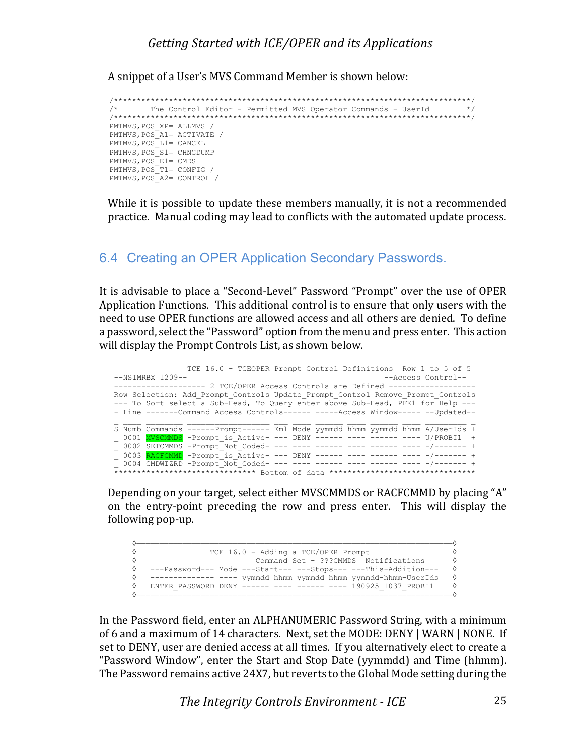A snippet of a User's MVS Command Member is shown below:

```
 /******************************************************************************/
        /* The Control Editor - Permitted MVS Operator Commands - UserId */
 /******************************************************************************/
 PMTMVS,POS_XP= ALLMVS /
PMTMVS, POS_A1= ACTIVATE /
PMTMVS, POS<sup>L1=</sup> CANCEL
PMTMVS, POS_S1= CHNGDUMP
PMTMVS, POS E1= CMDS
PMTMVS, POS<sup>T1=</sup> CONFIG /
PMTMVS, POS<sup>A2=</sup> CONTROL /
```
While it is possible to update these members manually, it is not a recommended practice. Manual coding may lead to conflicts with the automated update process.

#### 6.4 Creating an OPER Application Secondary Passwords.

It is advisable to place a "Second-Level" Password "Prompt" over the use of OPER Application Functions. This additional control is to ensure that only users with the need to use OPER functions are allowed access and all others are denied. To define a password, select the "Password" option from the menu and press enter. This action will display the Prompt Controls List, as shown below.

|  |                    | TCE 16.0 - TCEOPER Prompt Control Definitions Row 1 to 5 of 5                   |  |  |  |                    |  |
|--|--------------------|---------------------------------------------------------------------------------|--|--|--|--------------------|--|
|  | $--NSIMRBX 1209--$ |                                                                                 |  |  |  | --Access Control-- |  |
|  |                    | ------------------  2 TCE/OPER Access Controls are Defined ------------------   |  |  |  |                    |  |
|  |                    | Row Selection: Add Prompt Controls Update Prompt Control Remove Prompt Controls |  |  |  |                    |  |
|  |                    | --- To Sort select a Sub-Head, To Query enter above Sub-Head, PFK1 for Help --- |  |  |  |                    |  |
|  |                    | - Line -------Command Access Controls------ -----Access Window----- --Updated-- |  |  |  |                    |  |
|  |                    |                                                                                 |  |  |  |                    |  |
|  |                    | S Numb Commands ------Prompt------ Eml Mode yymmdd hhmm yymmdd hhmm A/UserIds + |  |  |  |                    |  |
|  |                    | 0001 NVSCMMDS -Prompt is Active- --- DENY ------ ---- ------ ---- U/PROBI1 +    |  |  |  |                    |  |
|  |                    |                                                                                 |  |  |  |                    |  |
|  |                    |                                                                                 |  |  |  |                    |  |
|  |                    | 0003 RACFCMMD -Prompt is Active- --- DENY ------ ---- ----- ---- -/------- +    |  |  |  |                    |  |
|  |                    |                                                                                 |  |  |  |                    |  |

Depending on your target, select either MVSCMMDS or RACFCMMD by placing "A" on the entry-point preceding the row and press enter. This will display the following pop-up.

| TCE 16.0 - Adding a TCE/OPER Prompt                             |            |
|-----------------------------------------------------------------|------------|
| Command Set - ???CMMDS Notifications                            | ♦          |
| ---Password--- Mode ---Start--- ---Stops--- ---This-Addition--- | $\Diamond$ |
| ------------ --- yymmdd hhmm yymmdd hhmm yymmdd-hhmm-UserIds    | ♦          |
| ENTER PASSWORD DENY ------ ---- ------ ---- 190925 1037 PROBI1  | ♦          |
|                                                                 |            |

In the Password field, enter an ALPHANUMERIC Password String, with a minimum of 6 and a maximum of 14 characters. Next, set the MODE: DENY | WARN | NONE. If set to DENY, user are denied access at all times. If you alternatively elect to create a "Password Window", enter the Start and Stop Date (yymmdd) and Time (hhmm). The Password remains active 24X7, but reverts to the Global Mode setting during the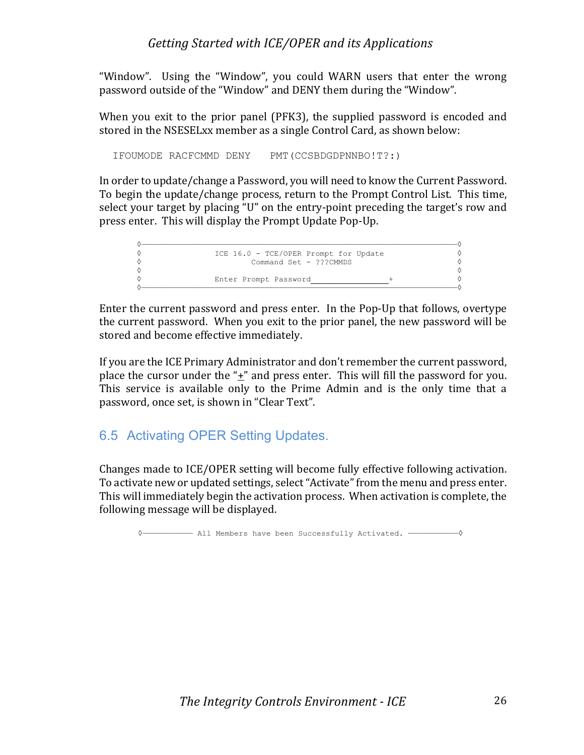"Window". Using the "Window", you could WARN users that enter the wrong password outside of the "Window" and DENY them during the "Window".

When you exit to the prior panel  $(PFK3)$ , the supplied password is encoded and stored in the NSESELxx member as a single Control Card, as shown below:

IFOUMODE RACFCMMD DENY PMT(CCSBDGDPNNBO!T?:)

In order to update/change a Password, you will need to know the Current Password. To begin the update/change process, return to the Prompt Control List. This time, select your target by placing "U" on the entry-point preceding the target's row and press enter. This will display the Prompt Update Pop-Up.

| ICE 16.0 - TCE/OPER Prompt for Update |  |
|---------------------------------------|--|
| Command Set - ???CMMDS                |  |
|                                       |  |
| Enter Prompt Password                 |  |
|                                       |  |

Enter the current password and press enter. In the Pop-Up that follows, overtype the current password. When you exit to the prior panel, the new password will be stored and become effective immediately.

If you are the ICE Primary Administrator and don't remember the current password, place the cursor under the " $\pm$ " and press enter. This will fill the password for you. This service is available only to the Prime Admin and is the only time that a password, once set, is shown in "Clear Text".

# 6.5 Activating OPER Setting Updates.

Changes made to ICE/OPER setting will become fully effective following activation. To activate new or updated settings, select "Activate" from the menu and press enter. This will immediately begin the activation process. When activation is complete, the following message will be displayed.

◊——————————— All Members have been Successfully Activated. ———————————◊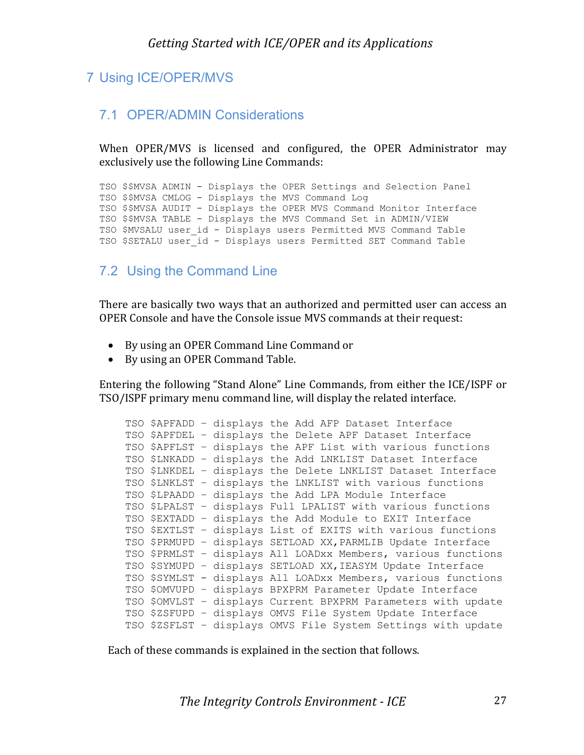# 7 Using ICE/OPER/MVS

#### 7.1 OPER/ADMIN Considerations

When OPER/MVS is licensed and configured, the OPER Administrator may exclusively use the following Line Commands:

TSO \$\$MVSA ADMIN - Displays the OPER Settings and Selection Panel TSO \$\$MVSA CMLOG - Displays the MVS Command Log TSO \$\$MVSA AUDIT - Displays the OPER MVS Command Monitor Interface TSO \$\$MVSA TABLE - Displays the MVS Command Set in ADMIN/VIEW TSO \$MVSALU user id - Displays users Permitted MVS Command Table TSO \$SETALU user\_id - Displays users Permitted SET Command Table

#### 7.2 Using the Command Line

There are basically two ways that an authorized and permitted user can access an OPER Console and have the Console issue MVS commands at their request:

- By using an OPER Command Line Command or
- By using an OPER Command Table.

Entering the following "Stand Alone" Line Commands, from either the ICE/ISPF or TSO/ISPF primary menu command line, will display the related interface.

|  |  | TSO \$APFADD - displays the Add AFP Dataset Interface         |
|--|--|---------------------------------------------------------------|
|  |  | TSO \$APFDEL - displays the Delete APF Dataset Interface      |
|  |  | TSO \$APFLST - displays the APF List with various functions   |
|  |  | TSO \$LNKADD - displays the Add LNKLIST Dataset Interface     |
|  |  | TSO \$LNKDEL - displays the Delete LNKLIST Dataset Interface  |
|  |  | TSO \$LNKLST - displays the LNKLIST with various functions    |
|  |  | TSO \$LPAADD - displays the Add LPA Module Interface          |
|  |  | TSO \$LPALST - displays Full LPALIST with various functions   |
|  |  | TSO \$EXTADD - displays the Add Module to EXIT Interface      |
|  |  | TSO \$EXTLST - displays List of EXITS with various functions  |
|  |  | TSO \$PRMUPD - displays SETLOAD XX, PARMLIB Update Interface  |
|  |  | TSO \$PRMLST - displays All LOADxx Members, various functions |
|  |  | TSO \$SYMUPD - displays SETLOAD XX, IEASYM Update Interface   |
|  |  | TSO \$SYMLST - displays All LOADxx Members, various functions |
|  |  | TSO \$OMVUPD - displays BPXPRM Parameter Update Interface     |
|  |  | TSO \$OMVLST - displays Current BPXPRM Parameters with update |
|  |  | TSO \$ZSFUPD - displays OMVS File System Update Interface     |
|  |  | TSO \$ZSFLST - displays OMVS File System Settings with update |

Each of these commands is explained in the section that follows.

**The Integrity Controls Environment - ICE** 27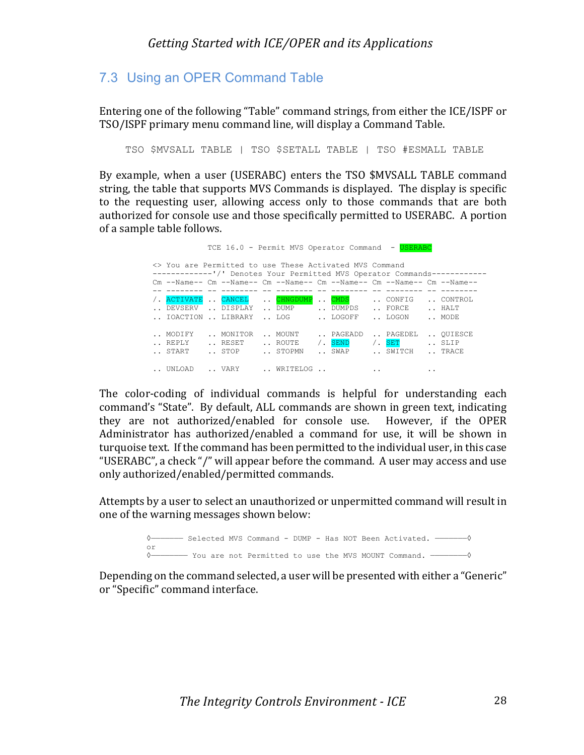# 7.3 Using an OPER Command Table

Entering one of the following "Table" command strings, from either the ICE/ISPF or TSO/ISPF primary menu command line, will display a Command Table.

TSO \$MVSALL TABLE | TSO \$SETALL TABLE | TSO #ESMALL TABLE

By example, when a user (USERABC) enters the TSO \$MVSALL TABLE command string, the table that supports MVS Commands is displayed. The display is specific to the requesting user, allowing access only to those commands that are both authorized for console use and those specifically permitted to USERABC. A portion of a sample table follows.

| TCE 16.0 - Permit MVS Operator Command - USERABC                                                                              |                     |  |                                                                                                             |  |          |  |               |                      |               |  |         |
|-------------------------------------------------------------------------------------------------------------------------------|---------------------|--|-------------------------------------------------------------------------------------------------------------|--|----------|--|---------------|----------------------|---------------|--|---------|
| <> You are Permitted to use These Activated MVS Command<br>------------'/' Denotes Your Permitted MVS Operator Commands------ |                     |  |                                                                                                             |  |          |  |               |                      |               |  |         |
|                                                                                                                               |                     |  | $\rm Cm$ --Name-- $\rm Cm$ --Name-- $\rm Cm$ --Name-- $\rm Cm$ --Name-- $\rm Cm$ --Name-- $\rm Cm$ --Name-- |  |          |  |               |                      |               |  |         |
|                                                                                                                               |                     |  |                                                                                                             |  |          |  |               |                      |               |  |         |
|                                                                                                                               | / ACTIVATE . CANCEL |  |                                                                                                             |  | CHNGDUMP |  | $\ldots$ CMDS |                      | CONFIG        |  | CONTROL |
|                                                                                                                               | DEVSERV  DISPLAY    |  |                                                                                                             |  | DUMP     |  |               |                      | DUMPDS  FORCE |  | HALT    |
|                                                                                                                               | IOACTION  LIBRARY   |  |                                                                                                             |  | LOG      |  | LOGOFF        |                      | LOGON         |  | MODE    |
|                                                                                                                               | MODIFY              |  | MONITOR                                                                                                     |  | MOUNT    |  | PAGEADD       |                      | PAGEDEL       |  | OUIESCE |
|                                                                                                                               | REPLY               |  | RESET                                                                                                       |  | ROUTE    |  | / SEND        |                      | / SET         |  | SLIP    |
|                                                                                                                               | START               |  | STOP  STOPMN                                                                                                |  |          |  | SWAP          |                      | SWITCH  TRACE |  |         |
|                                                                                                                               |                     |  | UNLOAD  VARY  WRITELOG                                                                                      |  |          |  |               | $\ddot{\phantom{0}}$ |               |  |         |

The color-coding of individual commands is helpful for understanding each command's "State". By default, ALL commands are shown in green text, indicating they are not authorized/enabled for console use. However, if the OPER Administrator has authorized/enabled a command for use, it will be shown in turquoise text. If the command has been permitted to the individual user, in this case "USERABC", a check "/" will appear before the command. A user may access and use only authorized/enabled/permitted commands.

Attempts by a user to select an unauthorized or unpermitted command will result in one of the warning messages shown below:



Depending on the command selected, a user will be presented with either a "Generic" or "Specific" command interface.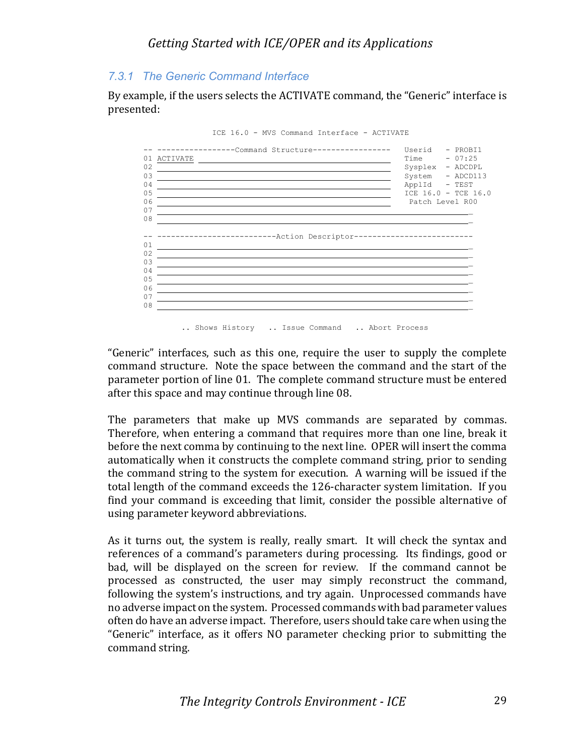#### *7.3.1 The Generic Command Interface*

By example, if the users selects the ACTIVATE command, the "Generic" interface is presented:



ICE 16.0 - MVS Command Interface - ACTIVATE

"Generic" interfaces, such as this one, require the user to supply the complete command structure. Note the space between the command and the start of the parameter portion of line 01. The complete command structure must be entered after this space and may continue through line 08.

The parameters that make up MVS commands are separated by commas. Therefore, when entering a command that requires more than one line, break it before the next comma by continuing to the next line. OPER will insert the comma automatically when it constructs the complete command string, prior to sending the command string to the system for execution. A warning will be issued if the total length of the command exceeds the 126-character system limitation. If you find your command is exceeding that limit, consider the possible alternative of using parameter keyword abbreviations.

As it turns out, the system is really, really smart. It will check the syntax and references of a command's parameters during processing. Its findings, good or bad, will be displayed on the screen for review. If the command cannot be processed as constructed, the user may simply reconstruct the command, following the system's instructions, and try again. Unprocessed commands have no adverse impact on the system. Processed commands with bad parameter values often do have an adverse impact. Therefore, users should take care when using the "Generic" interface, as it offers NO parameter checking prior to submitting the command string.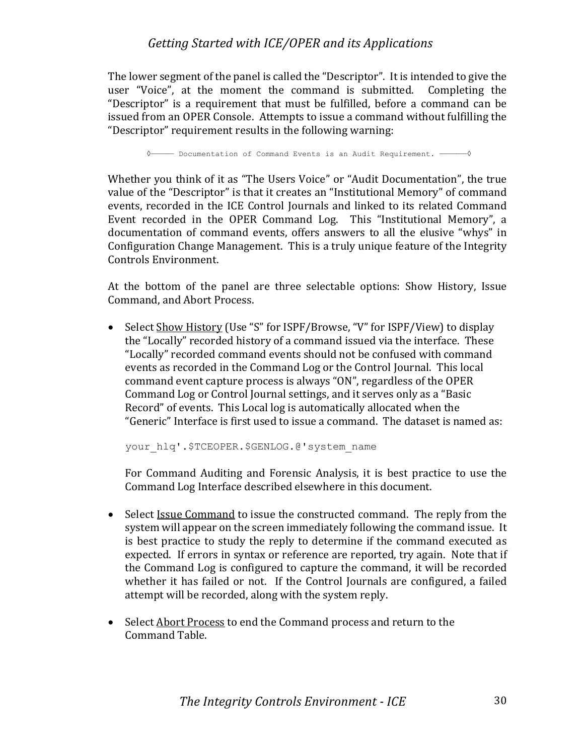The lower segment of the panel is called the "Descriptor". It is intended to give the user "Voice", at the moment the command is submitted. Completing the "Descriptor" is a requirement that must be fulfilled, before a command can be issued from an OPER Console. Attempts to issue a command without fulfilling the "Descriptor" requirement results in the following warning:

◊————— Documentation of Command Events is an Audit Requirement. ——————◊

Whether you think of it as "The Users Voice" or "Audit Documentation", the true value of the "Descriptor" is that it creates an "Institutional Memory" of command events, recorded in the ICE Control Journals and linked to its related Command Event recorded in the OPER Command Log. This "Institutional Memory", a documentation of command events, offers answers to all the elusive "whys" in Configuration Change Management. This is a truly unique feature of the Integrity Controls Environment.

At the bottom of the panel are three selectable options: Show History, Issue Command, and Abort Process.

• Select Show History (Use "S" for ISPF/Browse, "V" for ISPF/View) to display the "Locally" recorded history of a command issued via the interface. These "Locally" recorded command events should not be confused with command events as recorded in the Command Log or the Control Journal. This local command event capture process is always "ON", regardless of the OPER Command Log or Control Journal settings, and it serves only as a "Basic Record" of events. This Local log is automatically allocated when the "Generic" Interface is first used to issue a command. The dataset is named as:

your\_hlq'.\$TCEOPER.\$GENLOG.@'system\_name

For Command Auditing and Forensic Analysis, it is best practice to use the Command Log Interface described elsewhere in this document.

- Select *Issue Command* to issue the constructed command. The reply from the system will appear on the screen immediately following the command issue. It is best practice to study the reply to determine if the command executed as expected. If errors in syntax or reference are reported, try again. Note that if the Command Log is configured to capture the command, it will be recorded whether it has failed or not. If the Control Journals are configured, a failed attempt will be recorded, along with the system reply.
- Select Abort Process to end the Command process and return to the Command Table.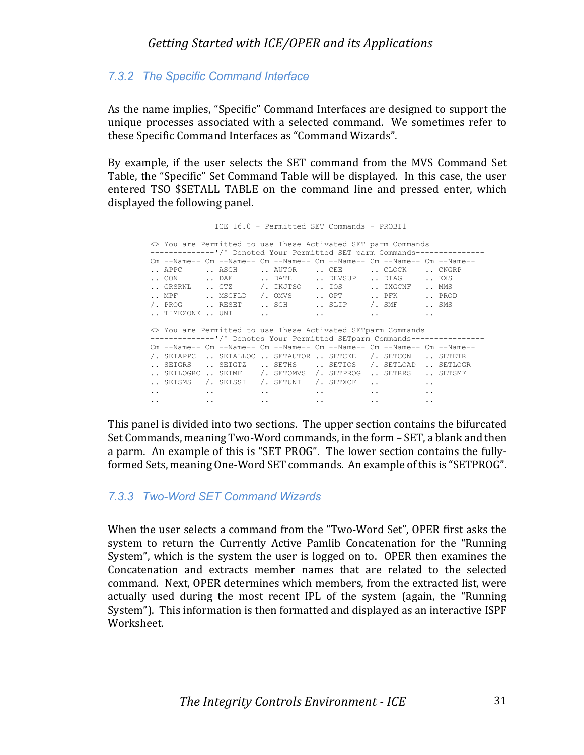### *7.3.2 The Specific Command Interface*

As the name implies, "Specific" Command Interfaces are designed to support the unique processes associated with a selected command. We sometimes refer to these Specific Command Interfaces as "Command Wizards".

By example, if the user selects the SET command from the MVS Command Set Table, the "Specific" Set Command Table will be displayed. In this case, the user entered TSO \$SETALL TABLE on the command line and pressed enter, which displayed the following panel.

 ICE 16.0 - Permitted SET Commands - PROBI1 <> You are Permitted to use These Activated SET parm Commands -------------'/' Denoted Your Permitted SET parm Commands-----Cm --Name-- Cm --Name-- Cm --Name-- Cm --Name-- Cm --Name-- Cm --Name-- Cm --Name-- Cm --Name-- Cm --Name-- Cm --Name-- Cm --Name-- Cm --Name-- Cm --Name-- Cm --Name-- Cm --Name-- Cm --Name-- Cm --Name-- Cm --Name-- Cm --N .. APPC .. ASCH .. AUTOR .. CEE .. CON ... DAE ... DATE ... DEVSUP ... DIAG ... EXS .. GRSRNL .. GTZ /. IKJTSO .. IOS .. IXGCNF .. MMS .. MPF .. MSGFLD /. OMVS .. OPT .. PFK .. PROD /. PROG .. RESET .. SCH .. SLIP /. SMF .. SMS  $\ldots$  timezone  $\ldots$  uni  $\ldots$  ...  $\ldots$  ...  $\ldots$  ... <> You are Permitted to use These Activated SETparm Commands --------------'/' Denotes Your Permitted SETparm Commands---------------- Cm --Name-- Cm --Name-- Cm --Name-- Cm --Name-- Cm --Name-- Cm --Name-- /. SETAPPC .. SETALLOC .. SETAUTOR .. SETCEE /. SETCON .. SETETR .. SETGRS .. SETGTZ .. SETHS .. SETIOS /. SETLOAD .. SETLOGR .. SETLOGRC .. SETMF /. SETOMVS /. SETPROG .. SETRRS .. SETSMF  $\begin{tabular}{lllllllll} \bf . & \tt SETSMS & / & \tt SETSSI & / & \tt SETUMI & / & \tt SETXCF & . & . & . & . \\ \end{tabular}$  .. .. .. .. .. .. .. .. .. .. .. ..

This panel is divided into two sections. The upper section contains the bifurcated Set Commands, meaning Two-Word commands, in the form – SET, a blank and then a parm. An example of this is "SET PROG". The lower section contains the fullyformed Sets, meaning One-Word SET commands. An example of this is "SETPROG".

#### *7.3.3 Two-Word SET Command Wizards*

When the user selects a command from the "Two-Word Set", OPER first asks the system to return the Currently Active Pamlib Concatenation for the "Running System", which is the system the user is logged on to. OPER then examines the Concatenation and extracts member names that are related to the selected command. Next, OPER determines which members, from the extracted list, were actually used during the most recent IPL of the system (again, the "Running System"). This information is then formatted and displayed as an interactive ISPF Worksheet.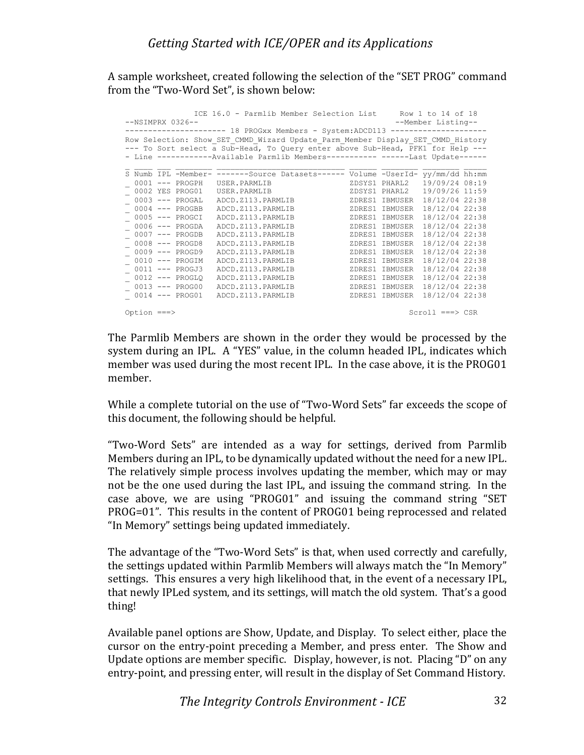A sample worksheet, created following the selection of the "SET PROG" command from the "Two-Word Set", is shown below:

|               |                    | ICE 16.0 - Parmlib Member Selection List Row 1 to 14 of 18                      |                |                              |  |
|---------------|--------------------|---------------------------------------------------------------------------------|----------------|------------------------------|--|
|               | $--NSIMPRX 0326--$ |                                                                                 |                | --Member Listing--           |  |
|               |                    | --------------------    18 PROGxx Members - System:ADCD113 -------------------- |                |                              |  |
|               |                    | Row Selection: Show SET CMMD Wizard Update Parm Member Display SET CMMD History |                |                              |  |
|               |                    | --- To Sort select a Sub-Head, To Query enter above Sub-Head, PFK1 for Help --- |                |                              |  |
|               |                    | - Line ------------Available Parmlib Members----------- ------Last Update------ |                |                              |  |
|               |                    | S Numb IPL -Member- -------Source Datasets------ Volume -UserId- yy/mm/dd hh:mm |                |                              |  |
|               | $0001$ --- PROGPH  | USER.PARMLIB                                                                    |                | 19/09/24 08:19               |  |
|               | 0002 YES PROG01    | ZDSYS1 PHARL2<br>ZDSYS1 PHARL2<br>USER.PARMLIB                                  |                | ZDSYS1 PHARL2 19/09/26 11:59 |  |
|               | $0003$ --- PROGAL  | ADCD.Z113.PARMLIB                                                               | ZDRES1 IBMUSER | 18/12/04 22:38               |  |
|               | $0004$ --- PROGBB  | ADCD. Z113. PARMLIB                                                             | ZDRES1 IBMUSER | 18/12/04 22:38               |  |
|               | $0005$ --- PROGCI  | ADCD. Z113. PARMLIB                                                             | ZDRES1 IBMUSER | 18/12/04 22:38               |  |
|               | $0006$ --- PROGDA  | ADCD. Z113. PARMLIB                                                             | ZDRES1 IBMUSER | 18/12/04 22:38               |  |
|               | $0007$ --- PROGDB  | ADCD. Z113. PARMLIB                                                             | ZDRES1 IBMUSER | 18/12/04 22:38               |  |
|               | $0008$ --- PROGD8  | ADCD. Z113. PARMLIB                                                             | ZDRES1 IBMUSER | 18/12/04 22:38               |  |
|               | $0009$ --- PROGD9  | ADCD. Z113. PARMLIB                                                             | ZDRES1 IBMUSER | 18/12/04 22:38               |  |
|               | $0010$ --- PROGIM  | ADCD. Z113. PARMLIB                                                             | ZDRES1 IBMUSER | 18/12/04 22:38               |  |
|               | 0011 --- PROGJ3    | ADCD. Z113. PARMLIB                                                             | ZDRES1 IBMUSER | 18/12/04 22:38               |  |
|               | $0012$ --- PROGLO  | ADCD. Z113. PARMLIB                                                             | ZDRES1 IBMUSER | 18/12/04 22:38               |  |
|               | 0013 --- PROG00    | ADCD. Z113. PARMLIB                                                             | ZDRES1 IBMUSER | 18/12/04 22:38               |  |
|               | 0014 --- PROG01    | ADCD.Z113.PARMLIB                                                               | ZDRES1 IBMUSER | 18/12/04 22:38               |  |
|               |                    |                                                                                 |                |                              |  |
| Option $==$ > |                    |                                                                                 |                | $Scroll == > CSR$            |  |

The Parmlib Members are shown in the order they would be processed by the system during an IPL. A "YES" value, in the column headed IPL, indicates which member was used during the most recent IPL. In the case above, it is the PROG01 member.

While a complete tutorial on the use of "Two-Word Sets" far exceeds the scope of this document, the following should be helpful.

"Two-Word Sets" are intended as a way for settings, derived from Parmlib Members during an IPL, to be dynamically updated without the need for a new IPL. The relatively simple process involves updating the member, which may or may not be the one used during the last IPL, and issuing the command string. In the case above, we are using "PROG01" and issuing the command string "SET PROG=01". This results in the content of PROG01 being reprocessed and related "In Memory" settings being updated immediately.

The advantage of the "Two-Word Sets" is that, when used correctly and carefully, the settings updated within Parmlib Members will always match the "In Memory" settings. This ensures a very high likelihood that, in the event of a necessary IPL, that newly IPLed system, and its settings, will match the old system. That's a good thing!

Available panel options are Show, Update, and Display. To select either, place the cursor on the entry-point preceding a Member, and press enter. The Show and Update options are member specific. Display, however, is not. Placing "D" on any entry-point, and pressing enter, will result in the display of Set Command History.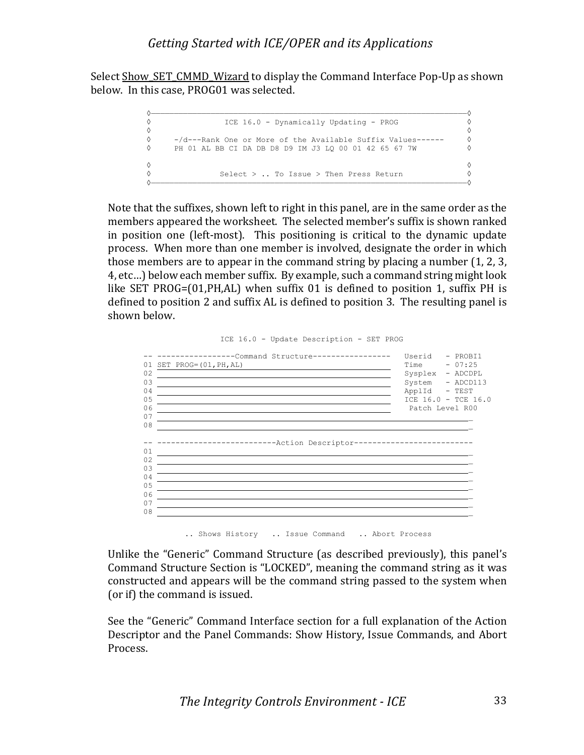Select Show SET CMMD Wizard to display the Command Interface Pop-Up as shown below. In this case, PROG01 was selected.



Note that the suffixes, shown left to right in this panel, are in the same order as the members appeared the worksheet. The selected member's suffix is shown ranked in position one (left-most). This positioning is critical to the dynamic update process. When more than one member is involved, designate the order in which those members are to appear in the command string by placing a number  $(1, 2, 3, 4)$ 4, etc...) below each member suffix. By example, such a command string might look like SET PROG= $(01, PH, AL)$  when suffix 01 is defined to position 1, suffix PH is defined to position 2 and suffix AL is defined to position 3. The resulting panel is shown helow.



.. Shows History .. Issue Command .. Abort Process

Unlike the "Generic" Command Structure (as described previously), this panel's Command Structure Section is "LOCKED", meaning the command string as it was constructed and appears will be the command string passed to the system when (or if) the command is issued.

See the "Generic" Command Interface section for a full explanation of the Action Descriptor and the Panel Commands: Show History, Issue Commands, and Abort Process.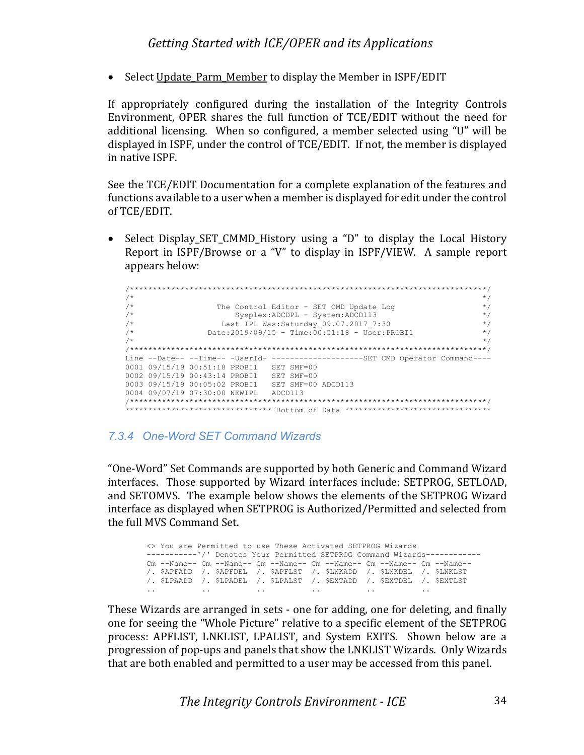• Select Update Parm Member to display the Member in ISPF/EDIT

If appropriately configured during the installation of the Integrity Controls Environment, OPER shares the full function of TCE/EDIT without the need for additional licensing. When so configured, a member selected using "U" will be displayed in ISPF, under the control of TCE/EDIT. If not, the member is displayed in native ISPF.

See the TCE/EDIT Documentation for a complete explanation of the features and functions available to a user when a member is displayed for edit under the control of TCE/EDIT.

Select Display SET CMMD History using a "D" to display the Local History Report in  $ISPF/Browse$  or a "V" to display in  $ISPF/VIEW$ . A sample report appears below:

| $/$ * |                                                                                      | $\star$ / |
|-------|--------------------------------------------------------------------------------------|-----------|
| $/$ * | The Control Editor - SET CMD Update Log                                              | $\star$ / |
| $/$ * | Sysplex: ADCDPL - System: ADCD113                                                    | $\star$ / |
| $/$ * | Last IPL Was: Saturday 09.07.2017 7:30                                               | $\star$ / |
| $/$ * | Date:2019/09/15 - Time:00:51:18 - User:PROBI1                                        | $\star$ / |
| $/$ * |                                                                                      | $\star$ / |
|       |                                                                                      |           |
|       | Line --Date-- --Time-- -UserId- --------------------SET CMD Operator Command----     |           |
|       | 0001 09/15/19 00:51:18 PROBI1 SET SMF=00                                             |           |
|       | 0002 09/15/19 00:43:14 PROBI1 SET SMF=00                                             |           |
|       | 0003 09/15/19 00:05:02 PROBI1 SET SMF=00 ADCD113                                     |           |
|       | 0004 09/07/19 07:30:00 NEWIPL ADCD113                                                |           |
|       |                                                                                      |           |
|       | ********************************<br>Bottom of Data ********************************* |           |

#### *7.3.4 One-Word SET Command Wizards*

"One-Word" Set Commands are supported by both Generic and Command Wizard interfaces. Those supported by Wizard interfaces include: SETPROG, SETLOAD, and SETOMVS. The example below shows the elements of the SETPROG Wizard interface as displayed when SETPROG is Authorized/Permitted and selected from the full MVS Command Set.

```
<> You are Permitted to use These Activated SETPROG Wizards
-----------'/' Denotes Your Permitted SETPROG Command Wizards------------
Cm --Name-- Cm --Name-- Cm --Name-- Cm --Name-- Cm --Name-- Cm --Name--
/. $APFADD /. $APFDEL /. $APFLST /. $LNKADD /. $LNKDEL /. $LNKLST
/. $LPAADD /. $LPADEL /. $LPALST /. $EXTADD /. $EXTDEL /. $EXTLST
.. .. .. .. .. ..
```
These Wizards are arranged in sets - one for adding, one for deleting, and finally one for seeing the "Whole Picture" relative to a specific element of the SETPROG process: APFLIST, LNKLIST, LPALIST, and System EXITS. Shown below are a progression of pop-ups and panels that show the LNKLIST Wizards. Only Wizards that are both enabled and permitted to a user may be accessed from this panel.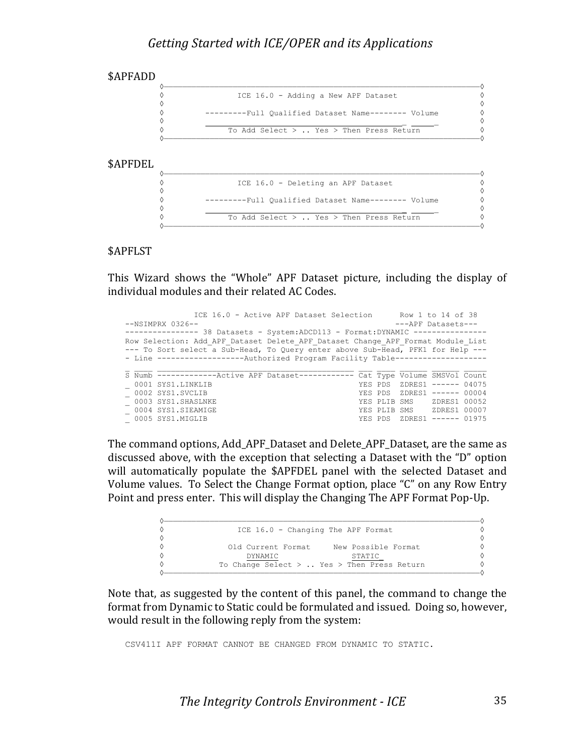

#### \$APFLST

This Wizard shows the "Whole" APF Dataset picture, including the display of individual modules and their related AC Codes.

| ICE 16.0 - Active APF Dataset Selection Row 1 to 14 of 38                        |                                                                               |  |                             |  |  |  |  |  |  |
|----------------------------------------------------------------------------------|-------------------------------------------------------------------------------|--|-----------------------------|--|--|--|--|--|--|
| $--NSIMPRX 0326--$<br>---APF Datasets---                                         |                                                                               |  |                             |  |  |  |  |  |  |
| -------------- 38 Datasets - System: ADCD113 - Format: DYNAMIC --------------    |                                                                               |  |                             |  |  |  |  |  |  |
| Row Selection: Add APF Dataset Delete APF Dataset Change APF Format Module List  |                                                                               |  |                             |  |  |  |  |  |  |
| --- To Sort select a Sub-Head, To Query enter above Sub-Head, PFK1 for Help ---  |                                                                               |  |                             |  |  |  |  |  |  |
|                                                                                  | - Line ------------------Authorized Program Facility Table------------------- |  |                             |  |  |  |  |  |  |
|                                                                                  |                                                                               |  |                             |  |  |  |  |  |  |
| S Numb --------------Active APF Dataset------------ Cat Type Volume SMSVol Count |                                                                               |  |                             |  |  |  |  |  |  |
|                                                                                  |                                                                               |  |                             |  |  |  |  |  |  |
| 0001 SYS1.LINKLIB                                                                |                                                                               |  | YES PDS ZDRES1 ------ 04075 |  |  |  |  |  |  |
| 0002 SYS1.SVCLIB                                                                 |                                                                               |  | YES PDS ZDRES1 ------ 00004 |  |  |  |  |  |  |
| 0003 SYS1.SHASLNKE                                                               |                                                                               |  | YES PLIB SMS ZDRES1 00052   |  |  |  |  |  |  |
| 0004 SYS1.SIEAMIGE<br>0005 SYS1.MIGLIB                                           |                                                                               |  | YES PLIB SMS ZDRES1 00007   |  |  |  |  |  |  |

The command options, Add\_APF\_Dataset and Delete\_APF\_Dataset, are the same as discussed above, with the exception that selecting a Dataset with the "D" option will automatically populate the \$APFDEL panel with the selected Dataset and Volume values. To Select the Change Format option, place "C" on any Row Entry Point and press enter. This will display the Changing The APF Format Pop-Up.

| ♦ | ICE 16.0 - Changing The APF Format             |  |
|---|------------------------------------------------|--|
| ♦ |                                                |  |
| ♦ | New Possible Format<br>Old Current Format      |  |
| ♦ | DYNAMIC<br>STATIC                              |  |
| ♦ | To Change Select $>$ Yes $>$ Then Press Return |  |
|   |                                                |  |

Note that, as suggested by the content of this panel, the command to change the format from Dynamic to Static could be formulated and issued. Doing so, however, would result in the following reply from the system:

CSV411I APF FORMAT CANNOT BE CHANGED FROM DYNAMIC TO STATIC.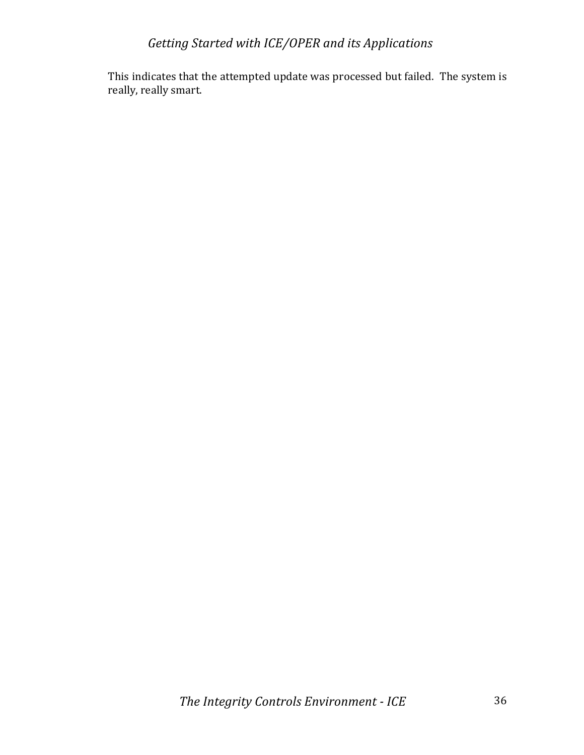This indicates that the attempted update was processed but failed. The system is really, really smart.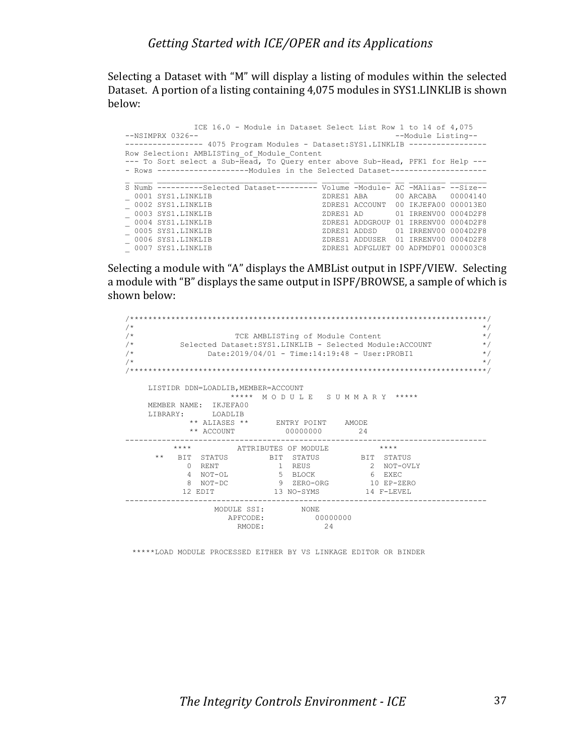Selecting a Dataset with "M" will display a listing of modules within the selected Dataset. A portion of a listing containing 4,075 modules in SYS1.LINKLIB is shown below:

|                                                                                 | ICE 16.0 - Module in Dataset Select List Row 1 to 14 of 4,075                   |  |                                      |  |  |  |  |  |  |  |
|---------------------------------------------------------------------------------|---------------------------------------------------------------------------------|--|--------------------------------------|--|--|--|--|--|--|--|
| $--NSIMPRX 0326--$<br>--Module Listing--                                        |                                                                                 |  |                                      |  |  |  |  |  |  |  |
| ---------------- 4075 Program Modules - Dataset: SYS1.LINKLIB ----------------  |                                                                                 |  |                                      |  |  |  |  |  |  |  |
| Row Selection: AMBLISTing of Module Content                                     |                                                                                 |  |                                      |  |  |  |  |  |  |  |
| --- To Sort select a Sub-Head, To Query enter above Sub-Head, PFK1 for Help --- |                                                                                 |  |                                      |  |  |  |  |  |  |  |
|                                                                                 | - Rows --------------------Modules in the Selected Dataset--------------------  |  |                                      |  |  |  |  |  |  |  |
|                                                                                 |                                                                                 |  |                                      |  |  |  |  |  |  |  |
|                                                                                 | S Numb ----------Selected Dataset--------- Volume -Module- AC -MAlias- --Size-- |  |                                      |  |  |  |  |  |  |  |
|                                                                                 | 0001 SYS1.LINKLIB                                                               |  | ZDRES1 ABA 00 ARCABA 00004140        |  |  |  |  |  |  |  |
|                                                                                 | $-$ 0002 SYS1.LINKLIB                                                           |  | ZDRES1 ACCOUNT 00 IKJEFA00 000013E0  |  |  |  |  |  |  |  |
|                                                                                 | $-0003$ SYS1.LINKLIB                                                            |  | ZDRES1 AD 01 IRRENV00 0004D2F8       |  |  |  |  |  |  |  |
|                                                                                 | $-0004$ SYS1.LINKLIB                                                            |  | ZDRES1 ADDGROUP 01 IRRENV00 0004D2F8 |  |  |  |  |  |  |  |
|                                                                                 | $= 0005$ SYS1.LINKLIB                                                           |  | ZDRES1 ADDSD 01 IRRENV00 0004D2F8    |  |  |  |  |  |  |  |
|                                                                                 | 0006 SYS1.LINKLIB                                                               |  | ZDRES1 ADDUSER 01 IRRENV00 0004D2F8  |  |  |  |  |  |  |  |
|                                                                                 | 0007 SYS1.LINKLIB                                                               |  | ZDRES1 ADFGLUET 00 ADFMDF01 000003C8 |  |  |  |  |  |  |  |

Selecting a module with "A" displays the AMBList output in ISPF/VIEW. Selecting a module with "B" displays the same output in ISPF/BROWSE, a sample of which is shown below:

| / $\star$ |          |                           |                                     |                                  |                                                           |
|-----------|----------|---------------------------|-------------------------------------|----------------------------------|-----------------------------------------------------------|
| $/$ *     |          |                           |                                     | TCE AMBLISTing of Module Content |                                                           |
| /*        |          |                           |                                     |                                  | Selected Dataset: SYS1.LINKLIB - Selected Module: ACCOUNT |
| $/$ *     |          |                           |                                     |                                  | Date:2019/04/01 - Time:14:19:48 - User:PROBI1             |
| $/$ *     |          |                           |                                     |                                  |                                                           |
|           |          |                           |                                     |                                  |                                                           |
|           |          |                           |                                     |                                  |                                                           |
|           |          |                           | LISTIDR DDN=LOADLIB, MEMBER=ACCOUNT |                                  |                                                           |
|           |          |                           |                                     |                                  | ***** MODULE SUMMARY *****                                |
|           |          | MEMBER NAME: IKJEFA00     |                                     |                                  |                                                           |
|           | LIBRARY: | T.OADT.TB                 |                                     |                                  |                                                           |
|           |          |                           |                                     | ** ALIASES ** ENTRY POINT AMODE  |                                                           |
|           |          |                           |                                     |                                  |                                                           |
|           |          | ** ACCOUNT                |                                     | 00000000                         | -24                                                       |
|           |          | $\star \star \star \star$ |                                     | ATTRIBUTES OF MODULE             | ****                                                      |
|           | $***$    |                           |                                     |                                  | BIT STATUS BIT STATUS BIT STATUS                          |
|           | $\cap$   | RENT                      |                                     | 1 REUS                           | 2 NOT-OVLY                                                |
|           |          | 4 NOT-OL                  |                                     |                                  | 5 BLOCK 6 EXEC                                            |
|           | 8        | NOT-DC                    |                                     | 9 ZERO-ORG                       | $10$ $FP-2FRO$                                            |
|           |          | 12 EDIT                   |                                     | 13 NO-SYMS                       | 14 F-LEVEL                                                |
|           |          |                           |                                     |                                  |                                                           |
|           |          |                           | MODULE SSI: NONE<br>APFCODE:        | 00000000                         |                                                           |

\*\*\*\*\*LOAD MODULE PROCESSED EITHER BY VS LINKAGE EDITOR OR BINDER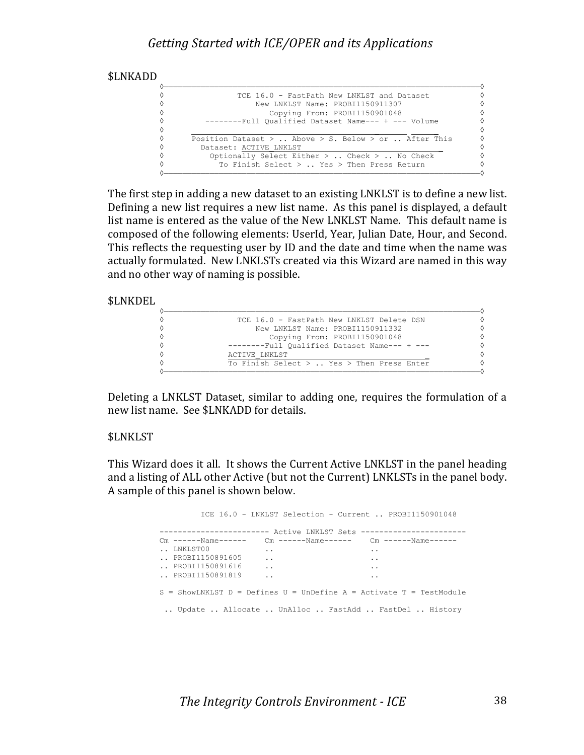

The first step in adding a new dataset to an existing LNKLST is to define a new list. Defining a new list requires a new list name. As this panel is displayed, a default list name is entered as the value of the New LNKLST Name. This default name is composed of the following elements: UserId, Year, Julian Date, Hour, and Second. This reflects the requesting user by ID and the date and time when the name was actually formulated. New LNKLSTs created via this Wizard are named in this way and no other way of naming is possible.

#### \$LNKDEL

| TCE 16.0 - FastPath New LNKLST Delete DSN     |   |
|-----------------------------------------------|---|
| New LNKLST Name: PROBI1150911332              |   |
| Copying From: PROBI1150901048                 |   |
| --------Full Oualified Dataset Name--- + ---  |   |
| ACTIVE LNKLST                                 | ♦ |
| To Finish Select $>$ Yes $>$ Then Press Enter |   |
|                                               |   |

Deleting a LNKLST Dataset, similar to adding one, requires the formulation of a new list name. See \$LNKADD for details.

#### \$LNKLST

This Wizard does it all. It shows the Current Active LNKLST in the panel heading and a listing of ALL other Active (but not the Current) LNKLSTs in the panel body. A sample of this panel is shown below.

|                                                                       |                      | ICE 16.0 - LNKLST Selection - Current  PROBI1150901048 |                      |  |
|-----------------------------------------------------------------------|----------------------|--------------------------------------------------------|----------------------|--|
|                                                                       |                      |                                                        |                      |  |
| Cm ------Name------    Cm ------Name------    Cm ------Name------     |                      |                                                        |                      |  |
| LNKLST00                                                              | $\cdot$ .            |                                                        | $\ddotsc$            |  |
| PROBI1150891605                                                       | $\ddot{\phantom{a}}$ |                                                        | $\ddot{\phantom{0}}$ |  |
| PROBI1150891616                                                       | $\cdot$ .            |                                                        | $\ddotsc$            |  |
| PROBI1150891819                                                       | $\cdot$ .            |                                                        | $\ddotsc$            |  |
| $S =$ ShowLNKLST D = Defines U = UnDefine A = Activate T = TestModule |                      |                                                        |                      |  |
| Update  Allocate  UnAlloc  FastAdd  FastDel  History                  |                      |                                                        |                      |  |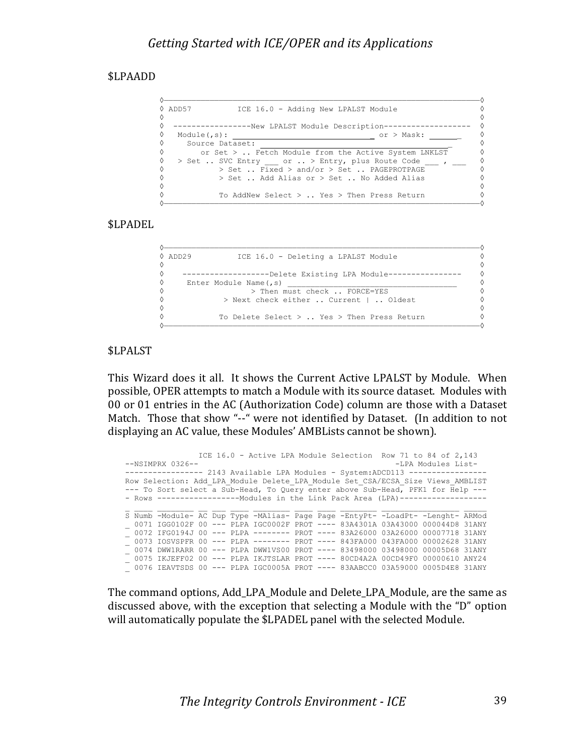#### \$LPAADD

| ♦ ADD57<br>♦       | ICE 16.0 - Adding New LPALST Module                                                        |            |
|--------------------|--------------------------------------------------------------------------------------------|------------|
| ♦                  | --------------New LPALST Module Description---                                             |            |
| ♦<br>Module(f, s): |                                                                                            | or > Mask: |
| ♦                  | Source Dataset:                                                                            |            |
| ♦                  | or Set $>$ Fetch Module from the Active System LNKLST                                      |            |
| ♦<br>♦             | > Set  SVC Entry or  > Entry, plus Route Code<br>> Set  Fixed > and/or > Set  PAGEPROTPAGE |            |
| ♦<br>♦             | $>$ Set  Add Alias or $>$ Set  No Added Alias                                              |            |
| ♦                  | To AddNew Select $>$ Yes $>$ Then Press Return                                             |            |

#### \$LPADEL

```
◊—————————————————————————————————————————————————————————————————————◊
◊ ADD29 ICE 16.0 - Deleting a LPALST Module ◊
◊ ◊
◊ -------------------Delete Existing LPA Module---------------- ◊
\Diamond Enter Module Name(, s) \Diamond◊ > Then must check .. FORCE=YES ◊
◊ > Next check either .. Current | .. Oldest ◊
◊ ◊
◊ To Delete Select > .. Yes > Then Press Return ◊
◊—————————————————————————————————————————————————————————————————————◊
```
#### \$LPALST

This Wizard does it all. It shows the Current Active LPALST by Module. When possible, OPER attempts to match a Module with its source dataset. Modules with 00 or 01 entries in the AC (Authorization Code) column are those with a Dataset Match. Those that show "--" were not identified by Dataset. (In addition to not displaying an AC value, these Modules' AMBLists cannot be shown).

```
ICE 16.0 - Active LPA Module Selection Row 71 to 84 of 2,143<br>--NSIMPRX 0326--<br>-LPA Modules List-
                                                            -LPA Modules List-
----------------- 2143 Available LPA Modules - System:ADCD113 -----------------
Row Selection: Add_LPA_Module Delete_LPA_Module Set_CSA/ECSA_Size Views_AMBLIST
--- To Sort select a Sub-Head, To Query enter above Sub-Head, PFK1 for Help ---
- Rows ---------------------- Modules in the Link Pack Area (LPA)-------------------
S Numb -Module- AC Dup Type -MAlias- Page Page -EntyPt- -LoadPt- -Lenght- ARMod
_ 0071 IGG0102F 00 --- PLPA IGC0002F PROT ---- 83A4301A 03A43000 000044D8 31ANY
 _ 0072 IFG0194J 00 --- PLPA -------- PROT ---- 83A26000 03A26000 00007718 31ANY
_ 0073 IOSVSPFR 00 --- PLPA -------- PROT ---- 843FA000 043FA000 00002628 31ANY
_ 0074 DWW1RARR 00 --- PLPA DWW1VS00 PROT ---- 83498000 03498000 00005D68 31ANY
 _ 0075 IKJEFF02 00 --- PLPA IKJTSLAR PROT ---- 80CD4A2A 00CD49F0 00000610 ANY24
- 0076 IEAVTSDS 00 --- PLPA IGC0005A PROT ---- 83AABCC0 03A59000 0005D4E8 31ANY
```
The command options, Add\_LPA\_Module and Delete\_LPA\_Module, are the same as discussed above, with the exception that selecting a Module with the "D" option will automatically populate the \$LPADEL panel with the selected Module.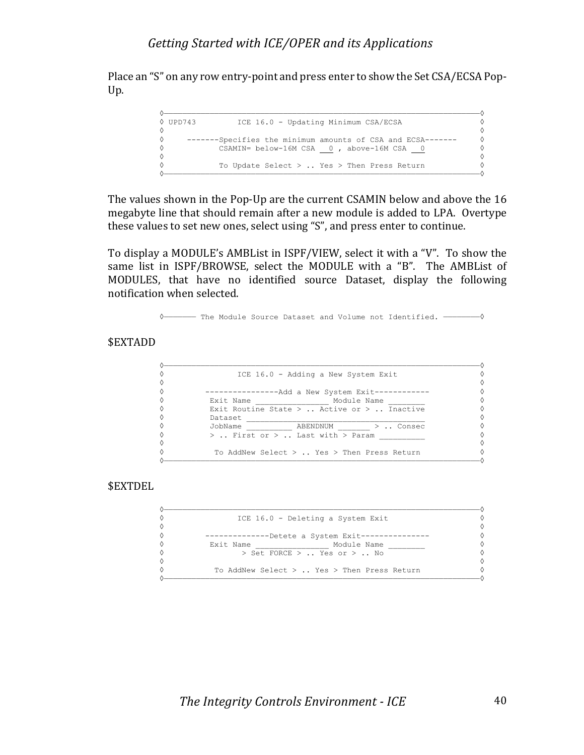Place an "S" on any row entry-point and press enter to show the Set CSA/ECSA Pop-Up.

```
◊—————————————————————————————————————————————————————————————————————◊
◊ UPD743 ICE 16.0 - Updating Minimum CSA/ECSA ◊
◊ ◊
◊ -------Specifies the minimum amounts of CSA and ECSA------- ◊
◊ CSAMIN= below-16M CSA 0 , above-16M CSA 0 ◊
◊ ◊
◊ To Update Select > .. Yes > Then Press Return ◊
◊—————————————————————————————————————————————————————————————————————◊
```
The values shown in the Pop-Up are the current CSAMIN below and above the 16 megabyte line that should remain after a new module is added to LPA. Overtype these values to set new ones, select using "S", and press enter to continue.

To display a MODULE's AMBList in ISPF/VIEW, select it with a "V". To show the same list in ISPF/BROWSE, select the MODULE with a "B". The AMBList of MODULES, that have no identified source Dataset, display the following notification when selected.

◊——————— The Module Source Dataset and Volume not Identified. ————————◊

#### \$EXTADD

| ♦          | ICE 16.0 - Adding a New System Exit            |   |
|------------|------------------------------------------------|---|
| 0          |                                                |   |
| ♦          | -Add a New System Exit-------                  |   |
| ♦          | Exit Name<br>Module Name                       | ♦ |
| 0          | Exit Routine State $>$ Active or $>$ Inactive  | ♦ |
| 0          | Dataset                                        | ♦ |
| 0          | JobName<br>ABENDNUM >  Consec                  |   |
| ♦          | >  First or >  Last with > Param               |   |
| $\Diamond$ |                                                |   |
| ♦          | To AddNew Select $>$ Yes $>$ Then Press Return |   |
|            |                                                |   |

\$EXTDEL

| ♦ | ICE 16.0 - Deleting a System Exit              |   |
|---|------------------------------------------------|---|
| ♦ |                                                | ♦ |
| ♦ | -Detete a System Exit----                      | ♦ |
| ♦ | Exit Name<br>Module Name                       | ♦ |
| ♦ | > Set FORCE >  Yes or >  No                    | ♦ |
| ♦ |                                                | ♦ |
| ♦ | To AddNew Select $>$ Yes $>$ Then Press Return |   |
|   |                                                |   |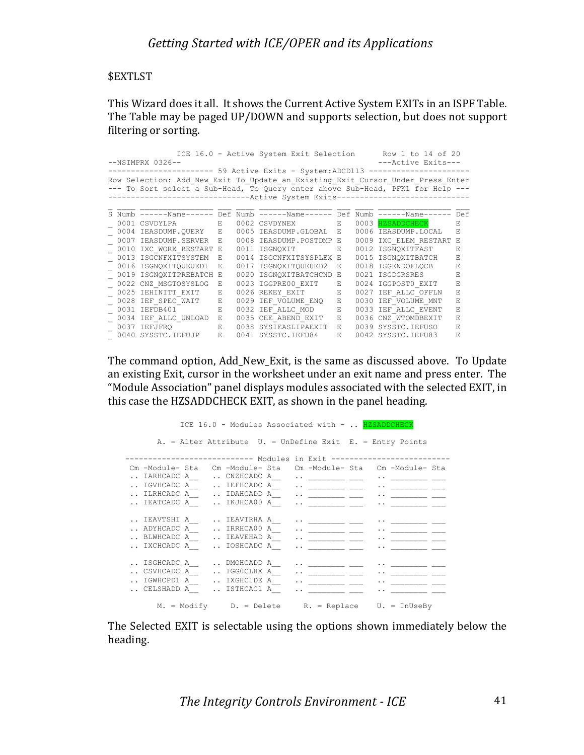#### \$EXTLST

This Wizard does it all. It shows the Current Active System EXITs in an ISPF Table. The Table may be paged UP/DOWN and supports selection, but does not support filtering or sorting.

|                                                                                 |                                                                                 |                                                                              |    |      | ICE 16.0 - Active System Exit Selection              |             |      | Row 1 to 14 of 20   |     |
|---------------------------------------------------------------------------------|---------------------------------------------------------------------------------|------------------------------------------------------------------------------|----|------|------------------------------------------------------|-------------|------|---------------------|-----|
|                                                                                 | $--NSIMPRX 0326--$<br>---Active Exits---                                        |                                                                              |    |      |                                                      |             |      |                     |     |
|                                                                                 |                                                                                 |                                                                              |    |      | ----- 59 Active Exits - System:ADCD113 ------------- |             |      |                     |     |
| Row Selection: Add New Exit To Update an Existing Exit Cursor Under Press Enter |                                                                                 |                                                                              |    |      |                                                      |             |      |                     |     |
|                                                                                 | --- To Sort select a Sub-Head, To Query enter above Sub-Head, PFK1 for Help --- |                                                                              |    |      |                                                      |             |      |                     |     |
|                                                                                 |                                                                                 | ---------------------------Active System Exits------------------------------ |    |      |                                                      |             |      |                     |     |
|                                                                                 |                                                                                 |                                                                              |    |      |                                                      |             |      |                     |     |
|                                                                                 |                                                                                 | S Numb ------Name------ Def Numb ------Name------ Def Numb ------Name------  |    |      |                                                      |             |      |                     | Def |
|                                                                                 |                                                                                 | 0001 CSVDYLPA<br>and the Barrist                                             |    |      | 0002 CSVDYNEX                                        | E.          | 0003 | <b>HZSADDCHECK</b>  | E.  |
|                                                                                 |                                                                                 | 0004 IEASDUMP.OUERY E                                                        |    | 0005 | IEASDUMP.GLOBAL                                      | E.          | 0006 | IEASDUMP.LOCAL      | F.  |
|                                                                                 | 0007                                                                            | IEASDUMP.SERVER                                                              | E. | 0008 | IEASDUMP.POSTDMP                                     | - F.        | 0009 | IXC ELEM RESTART    |     |
|                                                                                 | 0010                                                                            | IXC WORK RESTART                                                             | Е  |      | 0011 ISGNOXIT                                        | E.          |      | 0012 ISGNOXITFAST   | F.  |
|                                                                                 | 0013                                                                            | ISGCNFXITSYSTEM                                                              | F. | 0014 | ISGCNFXITSYSPLEX                                     | E.          | 0015 | ISGNOXITBATCH       | F.  |
|                                                                                 | 0016                                                                            | ISGNOXITOUEUED1                                                              | F. |      | 0017 ISGNOXITOUEUED2                                 | E.          |      | 0018 ISGENDOFLOCB   | E   |
|                                                                                 |                                                                                 | 0019 ISGNOXITPREBATCH                                                        | E. | 0020 | ISGNOXITBATCHCND                                     | E.          |      | 0021 ISGDGRSRES     | F.  |
|                                                                                 | 0022                                                                            | CNZ MSGTOSYSLOG                                                              | F. |      | 0023 IGGPRE00 EXIT                                   | F.          | 0024 | IGGPOST0 EXIT       | F.  |
|                                                                                 | 0025                                                                            | IEHINITT EXIT                                                                | E. |      | 0026 REKEY EXIT                                      | $\mathbf E$ | 0027 | IEF ALLC OFFLN      | F.  |
|                                                                                 | 0028                                                                            | IEF SPEC WAIT                                                                | Е  |      | 0029 IEF VOLUME ENO                                  | E.          | 0030 | IEF VOLUME MNT      | E   |
|                                                                                 | 0031                                                                            | IEFDB401                                                                     | E. | 0032 | IEF ALLC MOD                                         | F.          | 0033 | IEF ALLC EVENT      | E   |
|                                                                                 | 0034                                                                            | IEF ALLC UNLOAD                                                              | E. | 0035 | CEE ABEND EXIT                                       | E.          | 0036 | CNZ WTOMDBEXIT      | F.  |
|                                                                                 |                                                                                 | 0037 IEFJFRO                                                                 | E. | 0038 | SYSIEASLIPAEXIT                                      | E.          | 0039 | SYSSTC. IEFUSO      | F.  |
|                                                                                 |                                                                                 | 0040 SYSSTC. IEFUJP                                                          | E. |      | 0041 SYSSTC.IEFU84                                   | E.          |      | 0042 SYSSTC. IEFU83 | E   |

The command option, Add\_New\_Exit, is the same as discussed above. To Update an existing Exit, cursor in the worksheet under an exit name and press enter. The "Module Association" panel displays modules associated with the selected EXIT, in this case the HZSADDCHECK EXIT, as shown in the panel heading.

ICE 16.0 - Modules Associated with - .. HZSADDCHECK A. = Alter Attribute U. = UnDefine Exit E. = Entry Points ---------------------------- Modules in Exit -------------------------- Cm -Module- Sta Cm -Module- Sta Cm -Module- Sta Cm -Module- Sta  $\blacksquare$  . IARHCADC A  $\blacksquare$  . CNZHCADC A  $\blacksquare$  .  $\blacksquare$  $\blacksquare$  . IGVHCADC A  $\blacksquare$  . IEFHCADC A  $\blacksquare$  .  $\blacksquare$ .. ILRHCADC A\_\_  $\cdots$  IDAHCADD A\_\_  $\cdots$  \_\_\_\_\_\_\_\_\_ \_\_  $\cdots$  \_\_\_\_\_\_\_\_\_ \_\_\_  $\blacksquare$  . IEATCADC A  $\blacksquare$  . IKJHCA00 A  $\blacksquare$  .  $\blacksquare$ .. IEAVTSHI A\_\_ .. IEAVTRHA A\_\_ .. \_\_\_\_\_\_\_\_ \_\_\_ .. \_\_\_\_\_\_\_\_ \_\_\_  $\blacksquare$  . ADYHCADC A  $\blacksquare$  . IRRHCA00 A  $\blacksquare$  .  $\blacksquare$ .. BLWHCADC A\_\_ .. IEAVEHAD A\_\_ .. \_\_\_\_\_\_\_\_\_ \_\_\_ .. \_\_\_\_\_\_\_\_\_ \_\_\_  $\blacksquare$  . IXCHCADC A  $\blacksquare$  . IOSHCADC A  $\blacksquare$  .  $\blacksquare$  $\blacksquare$  . ISGHCADC A  $\blacksquare$  . DMOHCADD A  $\blacksquare$  .  $\blacksquare$  $\ldots$  CSVHCADC A  $\ldots$  IGG0CLHX A  $\ldots$  .  $\ldots$  .  $\ldots$ .. IGWHCPD1 A\_\_  $\cdots$  IXGHC1DE A\_\_  $\cdots$  \_\_\_\_\_\_\_\_ \_\_  $\cdots$  ... \_\_\_\_\_\_\_\_ \_\_  $\ldots$  CELSHADD A  $\ldots$  ISTHCAC1 A  $\ldots$  .  $\ldots$  .  $\ldots$ M. = Modify D. = Delete R. = Replace U. = InUseBy

The Selected EXIT is selectable using the options shown immediately below the heading.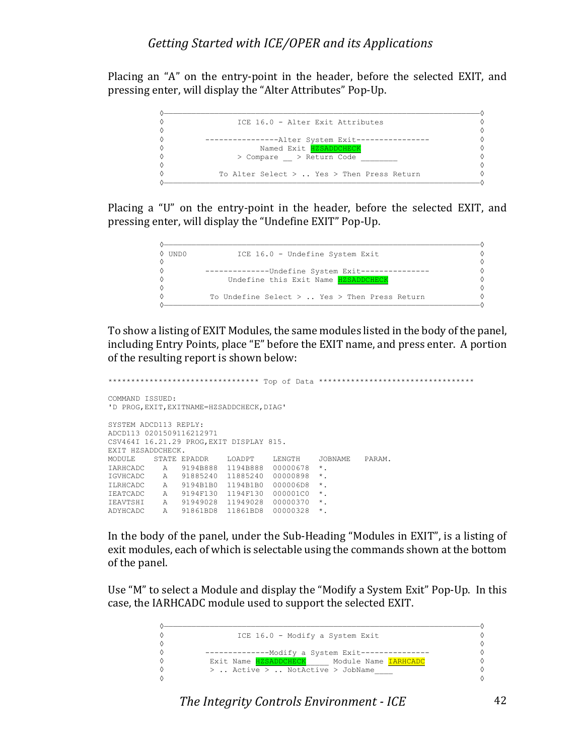Placing an "A" on the entry-point in the header, before the selected EXIT, and pressing enter, will display the "Alter Attributes" Pop-Up.



Placing a "U" on the entry-point in the header, before the selected EXIT, and pressing enter, will display the "Undefine EXIT" Pop-Up.

|            | 0 undo | ICE 16.0 - Undefine System Exit                  |   |
|------------|--------|--------------------------------------------------|---|
| ♦          |        |                                                  |   |
| ♦          |        | -Undefine System Exit----                        |   |
| ♦          |        | Undefine this Exit Name HZSADDCHECK              |   |
| ♦          |        |                                                  | ♦ |
| $\Diamond$ |        | To Undefine Select $>$ Yes $>$ Then Press Return |   |
|            |        |                                                  |   |

To show a listing of EXIT Modules, the same modules listed in the body of the panel, including Entry Points, place "E" before the EXIT name, and press enter. A portion of the resulting report is shown below:

```
********************************* Top of Data **********************************
COMMAND ISSUED:
'D PROG,EXIT,EXITNAME=HZSADDCHECK,DIAG'
SYSTEM ADCD113 REPLY:
ADCD113 0201509116212971
CSV464I 16.21.29 PROG,EXIT DISPLAY 815.
EXIT HZSADDCHECK.
MODULE STATE EPADDR LOADPT LENGTH JOBNAME PARAM.
IARHCADC A 9194B888 1194B888 00000678 *.
IGVHCADC A 91885240 11885240 00000898 *.
ILRHCADC A 9194B1B0 1194B1B0 000006D8 *.
IEATCADC A 9194F130 1194F130 000001C0 *.
IEAVTSHI A 91949028 11949028 00000370 *.
ADYHCADC A 91861BD8 11861BD8 00000328 *.
```
In the body of the panel, under the Sub-Heading "Modules in EXIT", is a listing of exit modules, each of which is selectable using the commands shown at the bottom of the panel.

Use "M" to select a Module and display the "Modify a System Exit" Pop-Up. In this case, the IARHCADC module used to support the selected EXIT.

| ICE 16.0 - Modify a System Exit            |   |
|--------------------------------------------|---|
|                                            | ♦ |
| ---Modify a System Exit------------        |   |
| Exit Name HZSADDCHECK Module Name IARHCADC |   |
| $>$ Active $>$ NotActive $>$ JobName       |   |
|                                            | ♦ |

**The Integrity Controls Environment - ICE** 42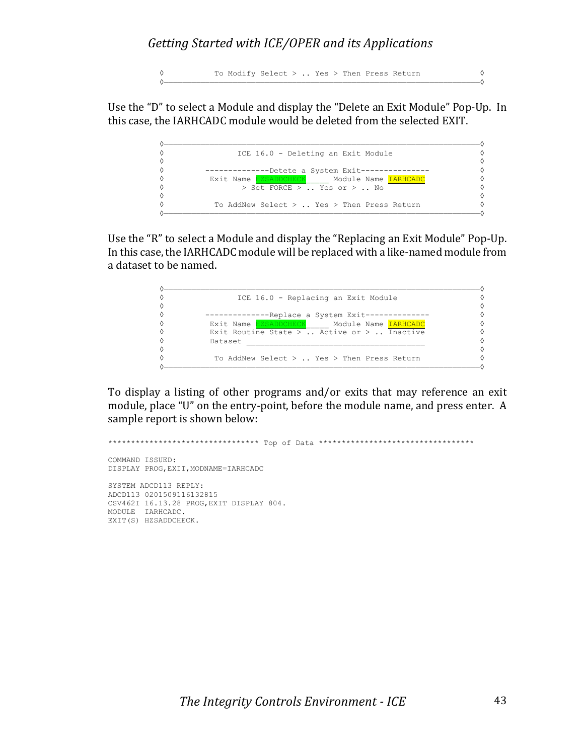◊ To Modify Select > .. Yes > Then Press Return ◊ ◊—————————————————————————————————————————————————————————————————————◊

Use the "D" to select a Module and display the "Delete an Exit Module" Pop-Up. In this case, the IARHCADC module would be deleted from the selected EXIT.



Use the "R" to select a Module and display the "Replacing an Exit Module" Pop-Up. In this case, the IARHCADC module will be replaced with a like-named module from a dataset to be named.



To display a listing of other programs and/or exits that may reference an exit module, place "U" on the entry-point, before the module name, and press enter. A sample report is shown below:

```
********************************* Top of Data **********************************
COMMAND ISSUED:
DISPLAY PROG, EXIT, MODNAME=IARHCADC
SYSTEM ADCD113 REPLY:
ADCD113 0201509116132815
CSV462I 16.13.28 PROG,EXIT DISPLAY 804.
MODULE IARHCADC.
EXIT(S) HZSADDCHECK.
```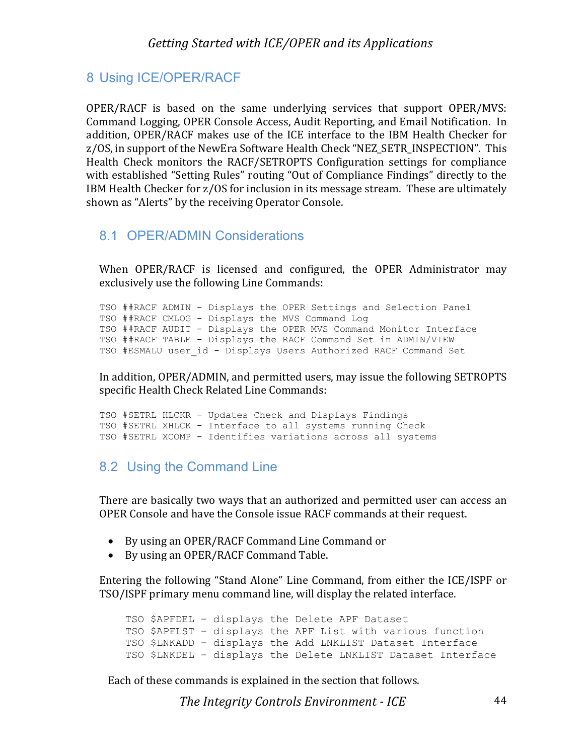### 8 Using ICE/OPER/RACF

OPER/RACF is based on the same underlying services that support  $OPER/MVS$ : Command Logging, OPER Console Access, Audit Reporting, and Email Notification. In addition, OPER/RACF makes use of the ICE interface to the IBM Health Checker for z/OS, in support of the NewEra Software Health Check "NEZ SETR INSPECTION". This Health Check monitors the RACF/SETROPTS Configuration settings for compliance with established "Setting Rules" routing "Out of Compliance Findings" directly to the IBM Health Checker for z/OS for inclusion in its message stream. These are ultimately shown as "Alerts" by the receiving Operator Console.

#### 8.1 OPER/ADMIN Considerations

When OPER/RACF is licensed and configured, the OPER Administrator may exclusively use the following Line Commands:

TSO ##RACF ADMIN - Displays the OPER Settings and Selection Panel TSO ##RACF CMLOG - Displays the MVS Command Log TSO ##RACF AUDIT - Displays the OPER MVS Command Monitor Interface TSO ##RACF TABLE - Displays the RACF Command Set in ADMIN/VIEW TSO #ESMALU user id - Displays Users Authorized RACF Command Set

In addition, OPER/ADMIN, and permitted users, may issue the following SETROPTS specific Health Check Related Line Commands:

TSO #SETRL HLCKR - Updates Check and Displays Findings TSO #SETRL XHLCK - Interface to all systems running Check TSO #SETRL XCOMP - Identifies variations across all systems

### 8.2 Using the Command Line

There are basically two ways that an authorized and permitted user can access an OPER Console and have the Console issue RACF commands at their request.

- By using an OPER/RACF Command Line Command or
- By using an OPER/RACF Command Table.

Entering the following "Stand Alone" Line Command, from either the  $ICE/ISPF$  or TSO/ISPF primary menu command line, will display the related interface.

TSO \$APFDEL – displays the Delete APF Dataset TSO \$APFLST – displays the APF List with various function TSO \$LNKADD – displays the Add LNKLIST Dataset Interface TSO \$LNKDEL – displays the Delete LNKLIST Dataset Interface

Each of these commands is explained in the section that follows.

**The Integrity Controls Environment - ICE** 44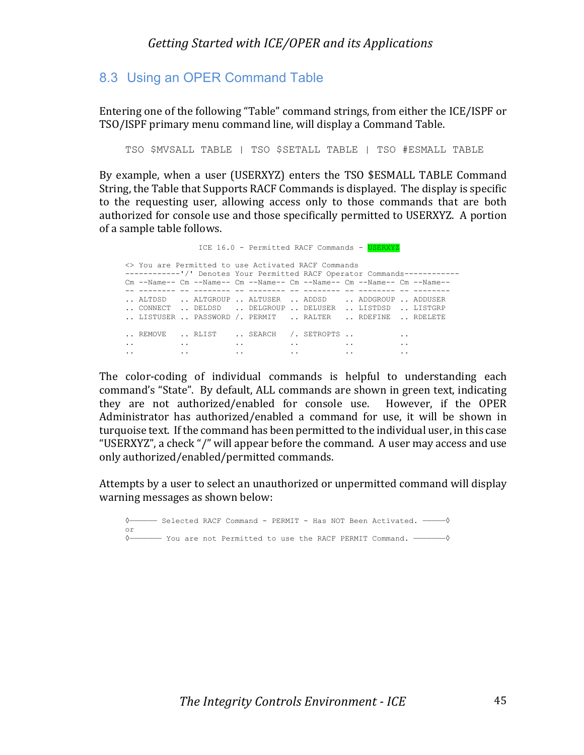### 8.3 Using an OPER Command Table

Entering one of the following "Table" command strings, from either the ICE/ISPF or TSO/ISPF primary menu command line, will display a Command Table.

TSO \$MVSALL TABLE | TSO \$SETALL TABLE | TSO #ESMALL TABLE

By example, when a user (USERXYZ) enters the TSO \$ESMALL TABLE Command String, the Table that Supports RACF Commands is displayed. The display is specific to the requesting user, allowing access only to those commands that are both authorized for console use and those specifically permitted to USERXYZ. A portion of a sample table follows.

ICE 16.0 - Permitted RACF Commands - USERXYZ <> You are Permitted to use Activated RACF Commands ------------'/' Denotes Your Permitted RACF Operator Commands------------ Cm --Name-- Cm --Name-- Cm --Name-- Cm --Name-- Cm --Name-- Cm --Name-- -- -------- -- -------- -- -------- -- -------- -- -------- -- -------- .. ALTDSD .. ALTGROUP .. ALTUSER .. ADDSD .. ADDGROUP .. ADDUSER .. CONNECT .. DELDSD .. DELGROUP .. DELUSER .. LISTDSD .. LISTGRP .. LISTUSER .. PASSWORD /. PERMIT .. RALTER .. RDEFINE .. RDELETE .. REMOVE .. RLIST .. SEARCH /. SETROPTS .. . . . . .. .. .. .. .. .. .. .. .. .. .. ..

The color-coding of individual commands is helpful to understanding each command's "State". By default, ALL commands are shown in green text, indicating they are not authorized/enabled for console use. However, if the OPER Administrator has authorized/enabled a command for use, it will be shown in turquoise text. If the command has been permitted to the individual user, in this case "USERXYZ", a check "/" will appear before the command. A user may access and use only authorized/enabled/permitted commands.

Attempts by a user to select an unauthorized or unpermitted command will display warning messages as shown below:

```
◊—————— Selected RACF Command - PERMIT - Has NOT Been Activated. —————◊
or
◊——————— You are not Permitted to use the RACF PERMIT Command. ———————◊
```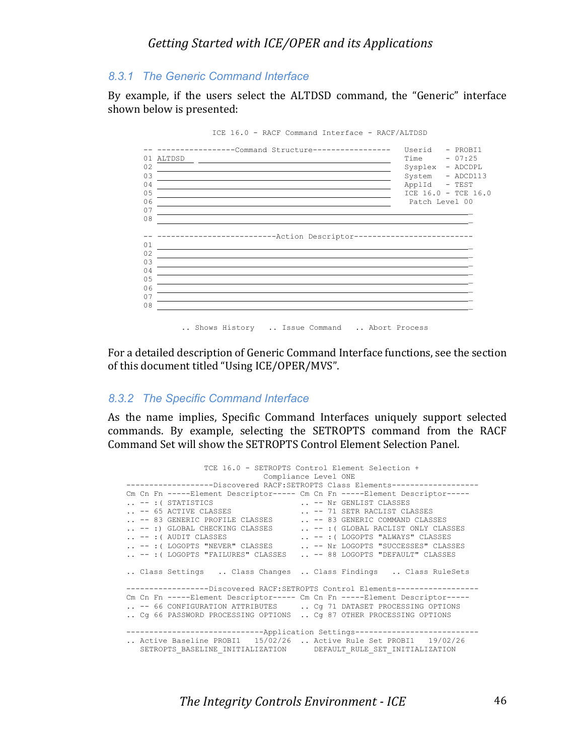#### *8.3.1 The Generic Command Interface*

By example, if the users select the ALTDSD command, the "Generic" interface shown below is presented:



ICE 16.0 - RACF Command Interface - RACF/ALTDSD

For a detailed description of Generic Command Interface functions, see the section of this document titled "Using ICE/OPER/MVS".

#### *8.3.2 The Specific Command Interface*

As the name implies, Specific Command Interfaces uniquely support selected commands. By example, selecting the SETROPTS command from the RACF Command Set will show the SETROPTS Control Element Selection Panel.

 TCE 16.0 - SETROPTS Control Element Selection + Compliance Level ONE -------------------Discovered RACF:SETROPTS Class Elements------------------- Cm Cn Fn -----Element Descriptor----- Cm Cn Fn -----Element Descriptor----- .. -- :( STATISTICS  $\cdots$  -- Nr GENLIST CLASSES .. -- 65 ACTIVE CLASSES ... -- 71 SETR RACLIST CLASSES .. -- 83 GENERIC PROFILE CLASSES ... -- 83 GENERIC COMMAND CLASSES .. -- :) GLOBAL CHECKING CLASSES ... -- :( GLOBAL RACLIST ONLY CLASSES .. -- :( AUDIT CLASSES ... -- :( LOGOPTS "ALWAYS" CLASSES .. -- :( LOGOPTS "NEVER" CLASSES ... -- Nr LOGOPTS "SUCCESSES" CLASSES .. -- :( LOGOPTS "FAILURES" CLASSES .. -- 88 LOGOPTS "DEFAULT" CLASSES .. Class Settings .. Class Changes .. Class Findings .. Class RuleSets ------------------Discovered RACF:SETROPTS Control Elements------------------ Cm Cn Fn -----Element Descriptor----- Cm Cn Fn -----Element Descriptor----- .. -- 66 CONFIGURATION ATTRIBUTES ... Cg 71 DATASET PROCESSING OPTIONS .. Cg 66 PASSWORD PROCESSING OPTIONS .. Cg 87 OTHER PROCESSING OPTIONS ---------------------------------Application Settings---------------------------.. Active Baseline PROBI1 15/02/26 .. Active Rule Set PROBI1 19/02/26 SETROPTS\_BASELINE\_INITIALIZATION DEFAULT\_RULE\_SET\_INITIALIZATION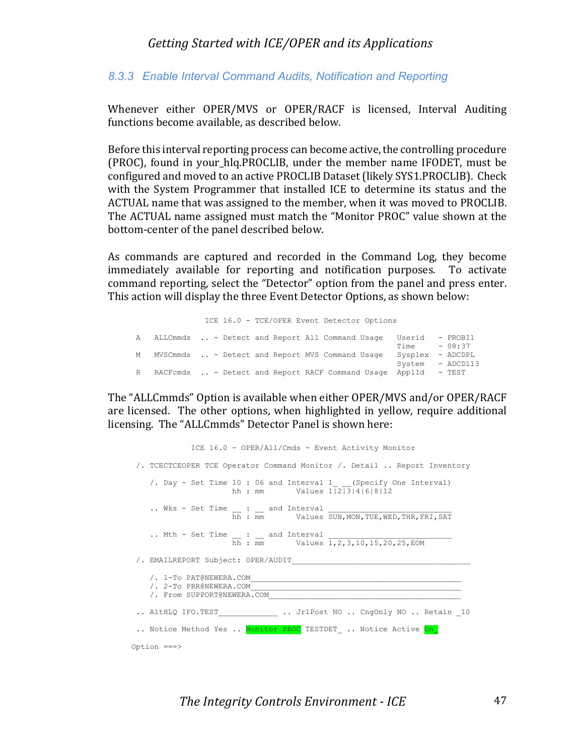#### *8.3.3 Enable Interval Command Audits, Notification and Reporting*

Whenever either OPER/MVS or OPER/RACF is licensed, Interval Auditing functions become available, as described below.

Before this interval reporting process can become active, the controlling procedure (PROC), found in your\_hlq.PROCLIB, under the member name IFODET, must be configured and moved to an active PROCLIB Dataset (likely SYS1.PROCLIB). Check with the System Programmer that installed ICE to determine its status and the ACTUAL name that was assigned to the member, when it was moved to PROCLIB. The ACTUAL name assigned must match the "Monitor PROC" value shown at the bottom-center of the panel described below.

As commands are captured and recorded in the Command Log, they become immediately available for reporting and notification purposes. To activate command reporting, select the "Detector" option from the panel and press enter. This action will display the three Event Detector Options, as shown below:

 ICE 16.0 - TCE/OPER Event Detector Options A ALLCmmds .. - Detect and Report All Command Usage Userid - PROBI1  $Time - 08:37$  M MVSCmmds .. - Detect and Report MVS Command Usage Sysplex - ADCDPL System - ADCD113 R RACFcmds .. - Detect and Report RACF Command Usage ApplId - TEST

The "ALLCmmds" Option is available when either OPER/MVS and/or OPER/RACF are licensed. The other options, when highlighted in yellow, require additional licensing. The "ALLCmmds" Detector Panel is shown here:

 ICE 16.0 - OPER/All/Cmds - Event Activity Monitor /. TCECTCEOPER TCE Operator Command Monitor /. Detail .. Report Inventory /. Day - Set Time 10 : 06 and Interval 1 (Specify One Interval) hh : mm Values  $1|2|3|4|6|8|12$  $\ldots$  Wks - Set Time  $\qquad \qquad : \qquad \text{and}$  Interval  $\qquad \qquad$ hh : mm Values SUN, MON, TUE, WED, THR, FRI, SAT .. Mth - Set Time  $\_\_$  :  $\_\_$  and Interval  $\_\_$ hh : mm Values 1, 2, 3, 10, 15, 20, 25, EOM /. EMAILREPORT Subject: OPER/AUDIT  $/$ . 1-To PAT@NEWERA.COM /. 2-To PRR@NEWERA.COM\_\_\_\_\_\_\_\_\_\_\_\_\_\_\_\_\_\_\_\_\_\_\_\_\_\_\_\_\_\_\_\_\_\_\_\_\_\_\_\_\_\_\_\_\_\_ /. From SUPPORT@NEWERA.COM .. AltHLQ IFO.TEST\_\_\_\_\_\_\_\_\_\_\_\_\_ .. JrlPost NO .. CngOnly NO .. Retain \_10 .. Notice Method Yes .. Monitor PROC TESTDET .. Notice Active On Option ===>

**The Integrity Controls Environment - ICE** 47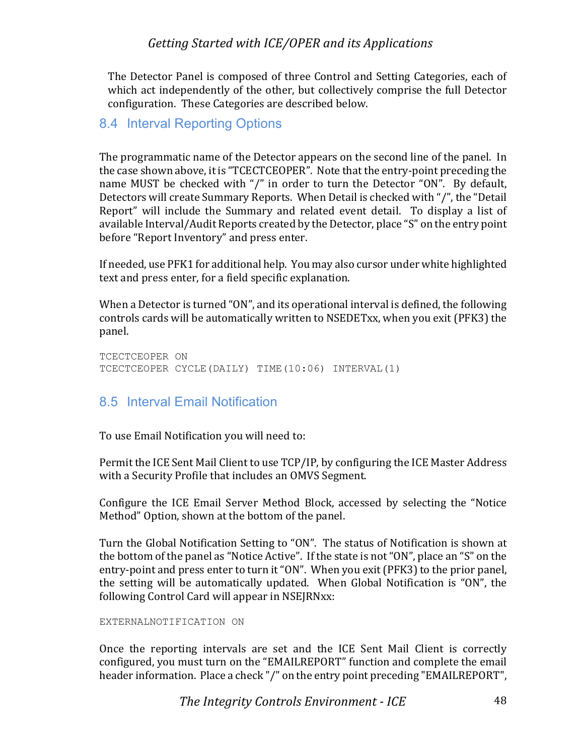The Detector Panel is composed of three Control and Setting Categories, each of which act independently of the other, but collectively comprise the full Detector configuration. These Categories are described below.

#### 8.4 Interval Reporting Options

The programmatic name of the Detector appears on the second line of the panel. In the case shown above, it is "TCECTCEOPER". Note that the entry-point preceding the name MUST be checked with "/" in order to turn the Detector "ON". By default, Detectors will create Summary Reports. When Detail is checked with "/", the "Detail Report" will include the Summary and related event detail. To display a list of available Interval/Audit Reports created by the Detector, place "S" on the entry point before "Report Inventory" and press enter.

If needed, use PFK1 for additional help. You may also cursor under white highlighted text and press enter, for a field specific explanation.

When a Detector is turned "ON", and its operational interval is defined, the following controls cards will be automatically written to NSEDETxx, when you exit (PFK3) the panel.

TCECTCEOPER ON TCECTCEOPER CYCLE(DAILY) TIME(10:06) INTERVAL(1)

#### 8.5 Interval Email Notification

To use Email Notification you will need to:

Permit the ICE Sent Mail Client to use TCP/IP, by configuring the ICE Master Address with a Security Profile that includes an OMVS Segment.

Configure the ICE Email Server Method Block, accessed by selecting the "Notice Method" Option, shown at the bottom of the panel.

Turn the Global Notification Setting to "ON". The status of Notification is shown at the bottom of the panel as "Notice Active". If the state is not "ON", place an "S" on the entry-point and press enter to turn it "ON". When you exit (PFK3) to the prior panel, the setting will be automatically updated. When Global Notification is "ON", the following Control Card will appear in NSEJRNxx:

#### EXTERNALNOTIFICATION ON

Once the reporting intervals are set and the ICE Sent Mail Client is correctly configured, you must turn on the "EMAILREPORT" function and complete the email header information. Place a check "/" on the entry point preceding "EMAILREPORT",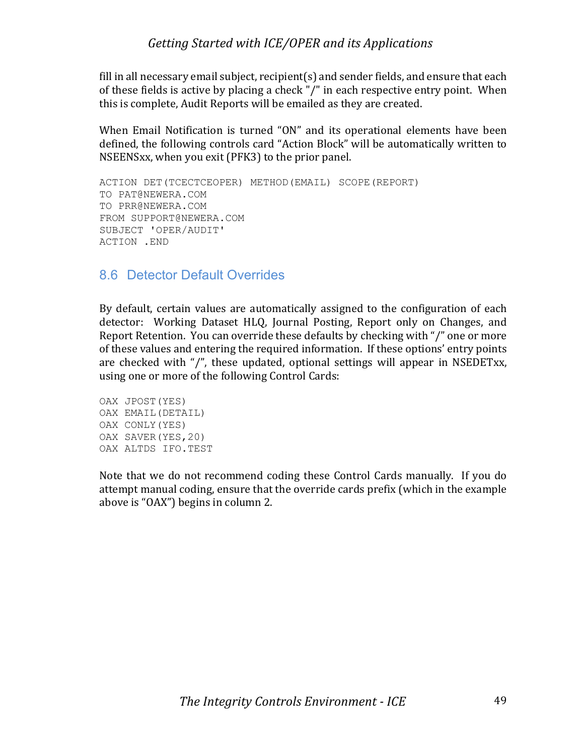fill in all necessary email subject, recipient(s) and sender fields, and ensure that each of these fields is active by placing a check " $/$ " in each respective entry point. When this is complete, Audit Reports will be emailed as they are created.

When Email Notification is turned "ON" and its operational elements have been defined, the following controls card "Action Block" will be automatically written to NSEENSxx, when you exit (PFK3) to the prior panel.

```
ACTION DET(TCECTCEOPER) METHOD(EMAIL) SCOPE(REPORT)
TO PAT@NEWERA.COM
TO PRR@NEWERA.COM
FROM SUPPORT@NEWERA.COM
SUBJECT 'OPER/AUDIT'
ACTION .END
```
#### 8.6 Detector Default Overrides

By default, certain values are automatically assigned to the configuration of each detector: Working Dataset HLQ, Journal Posting, Report only on Changes, and Report Retention. You can override these defaults by checking with "/" one or more of these values and entering the required information. If these options' entry points are checked with  $''/$ , these updated, optional settings will appear in NSEDETxx, using one or more of the following Control Cards:

```
OAX JPOST(YES)
OAX EMAIL(DETAIL)
OAX CONLY(YES)
OAX SAVER(YES,20)
OAX ALTDS IFO.TEST
```
Note that we do not recommend coding these Control Cards manually. If you do attempt manual coding, ensure that the override cards prefix (which in the example above is "OAX") begins in column 2.